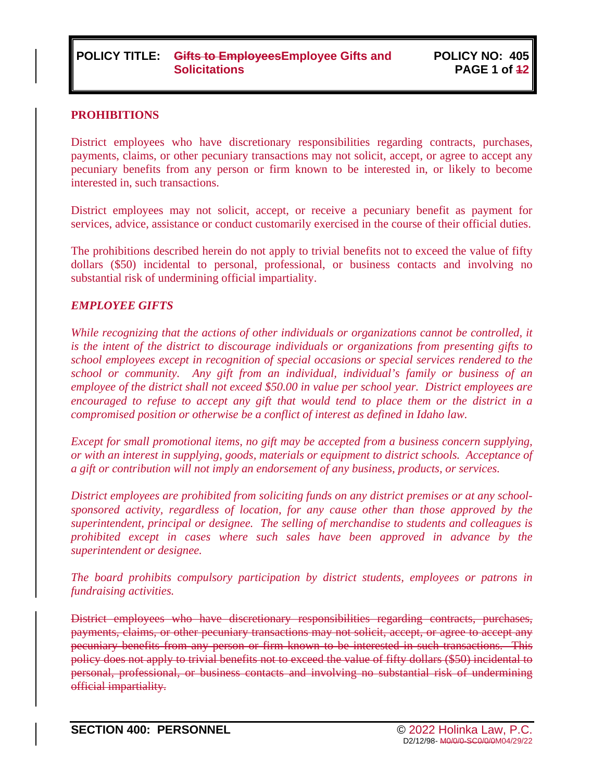### **PROHIBITIONS**

District employees who have discretionary responsibilities regarding contracts, purchases, payments, claims, or other pecuniary transactions may not solicit, accept, or agree to accept any pecuniary benefits from any person or firm known to be interested in, or likely to become interested in, such transactions.

District employees may not solicit, accept, or receive a pecuniary benefit as payment for services, advice, assistance or conduct customarily exercised in the course of their official duties.

The prohibitions described herein do not apply to trivial benefits not to exceed the value of fifty dollars (\$50) incidental to personal, professional, or business contacts and involving no substantial risk of undermining official impartiality.

### *EMPLOYEE GIFTS*

*While recognizing that the actions of other individuals or organizations cannot be controlled, it is the intent of the district to discourage individuals or organizations from presenting gifts to school employees except in recognition of special occasions or special services rendered to the school or community. Any gift from an individual, individual's family or business of an employee of the district shall not exceed \$50.00 in value per school year. District employees are encouraged to refuse to accept any gift that would tend to place them or the district in a compromised position or otherwise be a conflict of interest as defined in Idaho law.*

*Except for small promotional items, no gift may be accepted from a business concern supplying, or with an interest in supplying, goods, materials or equipment to district schools. Acceptance of a gift or contribution will not imply an endorsement of any business, products, or services.*

*District employees are prohibited from soliciting funds on any district premises or at any schoolsponsored activity, regardless of location, for any cause other than those approved by the superintendent, principal or designee. The selling of merchandise to students and colleagues is prohibited except in cases where such sales have been approved in advance by the superintendent or designee.*

*The board prohibits compulsory participation by district students, employees or patrons in fundraising activities.*

District employees who have discretionary responsibilities regarding contracts, purchases, payments, claims, or other pecuniary transactions may not solicit, accept, or agree to accept any pecuniary benefits from any person or firm known to be interested in such transactions. This policy does not apply to trivial benefits not to exceed the value of fifty dollars (\$50) incidental to personal, professional, or business contacts and involving no substantial risk of undermining official impartiality.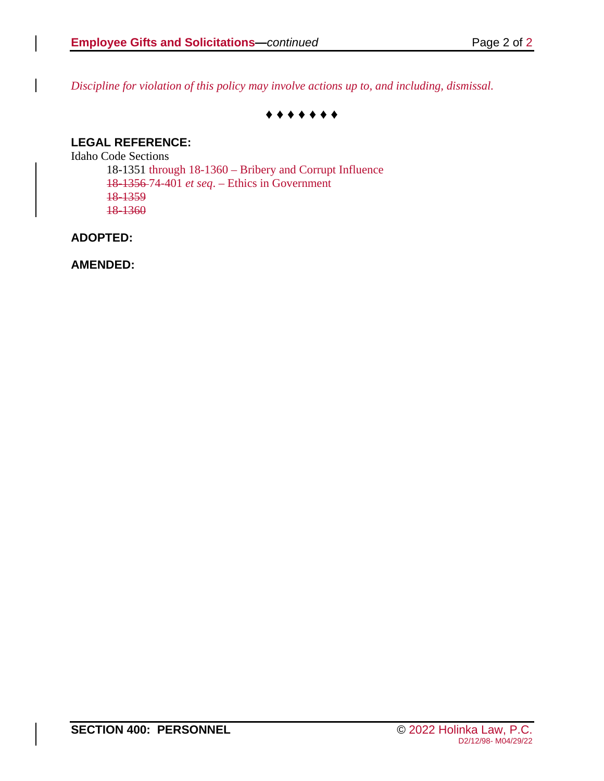*Discipline for violation of this policy may involve actions up to, and including, dismissal.*

#### **♦ ♦ ♦ ♦ ♦ ♦ ♦**

### **LEGAL REFERENCE:**

Idaho Code Sections 18-1351 through 18-1360 – Bribery and Corrupt Influence 18-1356 74-401 *et seq*. – Ethics in Government 18-1359 18-1360

### **ADOPTED:**

**AMENDED:**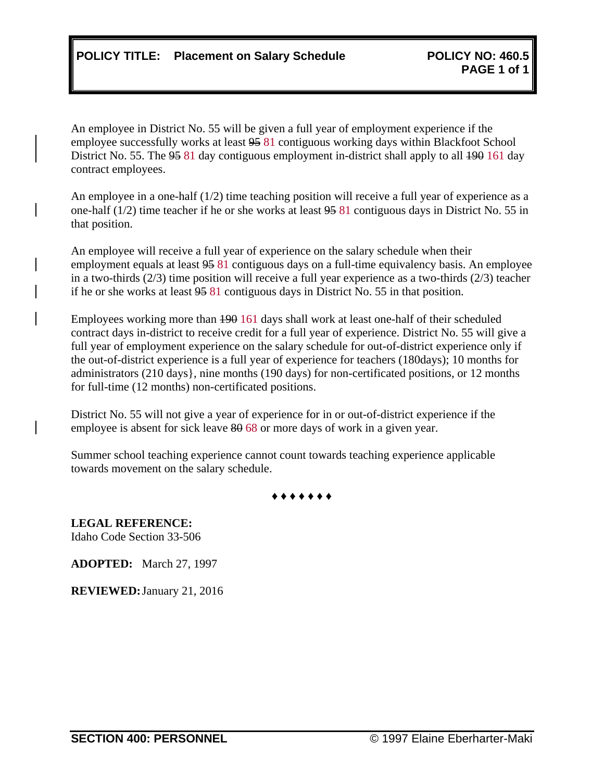An employee in District No. 55 will be given a full year of employment experience if the employee successfully works at least 95 81 contiguous working days within Blackfoot School District No. 55. The 95 81 day contiguous employment in-district shall apply to all 490 161 day contract employees.

An employee in a one-half (1/2) time teaching position will receive a full year of experience as a one-half (1/2) time teacher if he or she works at least 95 81 contiguous days in District No. 55 in that position.

An employee will receive a full year of experience on the salary schedule when their employment equals at least  $9581$  contiguous days on a full-time equivalency basis. An employee in a two-thirds (2/3) time position will receive a full year experience as a two-thirds (2/3) teacher if he or she works at least 95 81 contiguous days in District No. 55 in that position.

Employees working more than 190 161 days shall work at least one-half of their scheduled contract days in-district to receive credit for a full year of experience. District No. 55 will give a full year of employment experience on the salary schedule for out-of-district experience only if the out-of-district experience is a full year of experience for teachers (180days); 10 months for administrators (210 days}, nine months (190 days) for non-certificated positions, or 12 months for full-time (12 months) non-certificated positions.

District No. 55 will not give a year of experience for in or out-of-district experience if the employee is absent for sick leave  $80,68$  or more days of work in a given year.

Summer school teaching experience cannot count towards teaching experience applicable towards movement on the salary schedule.

**♦ ♦ ♦ ♦ ♦ ♦ ♦**

**LEGAL REFERENCE:** Idaho Code Section 33-506

**ADOPTED:** March 27, 1997

**REVIEWED:**January 21, 2016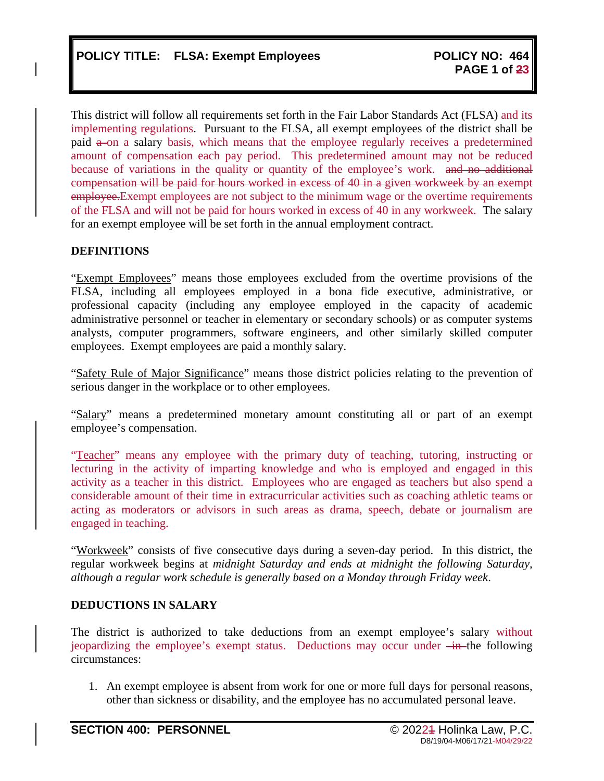This district will follow all requirements set forth in the Fair Labor Standards Act (FLSA) and its implementing regulations. Pursuant to the FLSA, all exempt employees of the district shall be paid  $\theta$ -on a salary basis, which means that the employee regularly receives a predetermined amount of compensation each pay period. This predetermined amount may not be reduced because of variations in the quality or quantity of the employee's work. and no additional compensation will be paid for hours worked in excess of 40 in a given workweek by an exempt employee. Exempt employees are not subject to the minimum wage or the overtime requirements of the FLSA and will not be paid for hours worked in excess of 40 in any workweek. The salary for an exempt employee will be set forth in the annual employment contract.

### **DEFINITIONS**

"Exempt Employees" means those employees excluded from the overtime provisions of the FLSA, including all employees employed in a bona fide executive, administrative, or professional capacity (including any employee employed in the capacity of academic administrative personnel or teacher in elementary or secondary schools) or as computer systems analysts, computer programmers, software engineers, and other similarly skilled computer employees. Exempt employees are paid a monthly salary.

"Safety Rule of Major Significance" means those district policies relating to the prevention of serious danger in the workplace or to other employees.

"Salary" means a predetermined monetary amount constituting all or part of an exempt employee's compensation.

"Teacher" means any employee with the primary duty of teaching, tutoring, instructing or lecturing in the activity of imparting knowledge and who is employed and engaged in this activity as a teacher in this district. Employees who are engaged as teachers but also spend a considerable amount of their time in extracurricular activities such as coaching athletic teams or acting as moderators or advisors in such areas as drama, speech, debate or journalism are engaged in teaching.

"Workweek" consists of five consecutive days during a seven-day period. In this district, the regular workweek begins at *midnight Saturday and ends at midnight the following Saturday, although a regular work schedule is generally based on a Monday through Friday week*.

### **DEDUCTIONS IN SALARY**

The district is authorized to take deductions from an exempt employee's salary without jeopardizing the employee's exempt status. Deductions may occur under  $\frac{1}{\text{ln}}$ -the following circumstances:

1. An exempt employee is absent from work for one or more full days for personal reasons, other than sickness or disability, and the employee has no accumulated personal leave.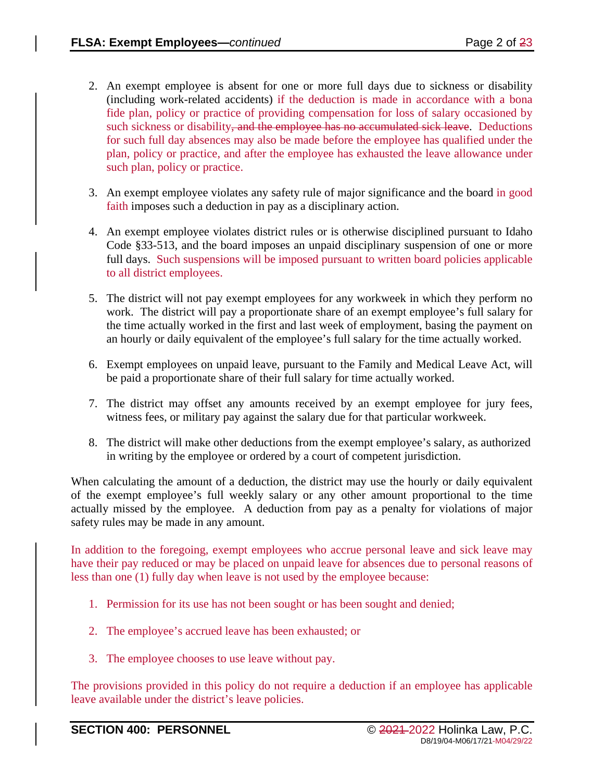- 2. An exempt employee is absent for one or more full days due to sickness or disability (including work-related accidents) if the deduction is made in accordance with a bona fide plan, policy or practice of providing compensation for loss of salary occasioned by such sickness or disability<del>, and the employee has no accumulated sick leave</del>. Deductions for such full day absences may also be made before the employee has qualified under the plan, policy or practice, and after the employee has exhausted the leave allowance under such plan, policy or practice.
- 3. An exempt employee violates any safety rule of major significance and the board in good faith imposes such a deduction in pay as a disciplinary action.
- 4. An exempt employee violates district rules or is otherwise disciplined pursuant to Idaho Code §33-513, and the board imposes an unpaid disciplinary suspension of one or more full days. Such suspensions will be imposed pursuant to written board policies applicable to all district employees.
- 5. The district will not pay exempt employees for any workweek in which they perform no work. The district will pay a proportionate share of an exempt employee's full salary for the time actually worked in the first and last week of employment, basing the payment on an hourly or daily equivalent of the employee's full salary for the time actually worked.
- 6. Exempt employees on unpaid leave, pursuant to the Family and Medical Leave Act, will be paid a proportionate share of their full salary for time actually worked.
- 7. The district may offset any amounts received by an exempt employee for jury fees, witness fees, or military pay against the salary due for that particular workweek.
- 8. The district will make other deductions from the exempt employee's salary, as authorized in writing by the employee or ordered by a court of competent jurisdiction.

When calculating the amount of a deduction, the district may use the hourly or daily equivalent of the exempt employee's full weekly salary or any other amount proportional to the time actually missed by the employee. A deduction from pay as a penalty for violations of major safety rules may be made in any amount.

In addition to the foregoing, exempt employees who accrue personal leave and sick leave may have their pay reduced or may be placed on unpaid leave for absences due to personal reasons of less than one (1) fully day when leave is not used by the employee because:

- 1. Permission for its use has not been sought or has been sought and denied;
- 2. The employee's accrued leave has been exhausted; or
- 3. The employee chooses to use leave without pay.

The provisions provided in this policy do not require a deduction if an employee has applicable leave available under the district's leave policies.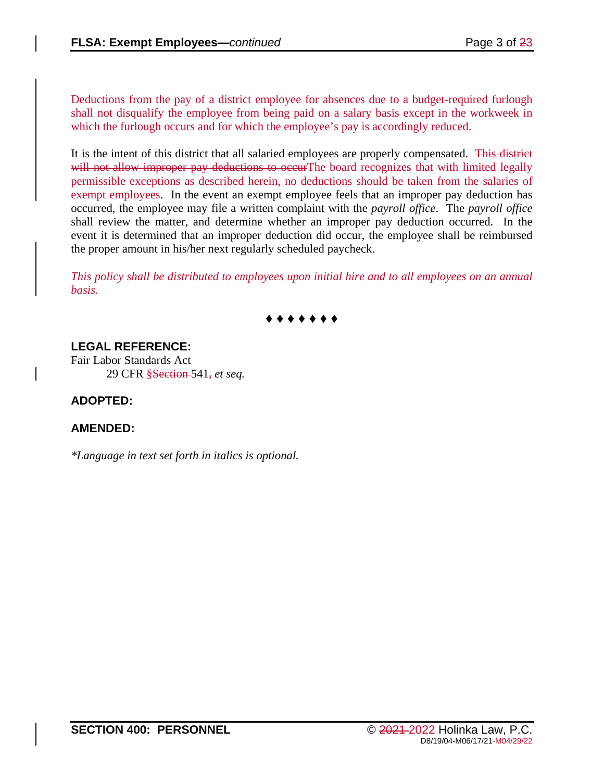Deductions from the pay of a district employee for absences due to a budget-required furlough shall not disqualify the employee from being paid on a salary basis except in the workweek in which the furlough occurs and for which the employee's pay is accordingly reduced.

It is the intent of this district that all salaried employees are properly compensated. This district will not allow improper pay deductions to occurThe board recognizes that with limited legally permissible exceptions as described herein, no deductions should be taken from the salaries of exempt employees. In the event an exempt employee feels that an improper pay deduction has occurred, the employee may file a written complaint with the *payroll office*. The *payroll office* shall review the matter, and determine whether an improper pay deduction occurred. In the event it is determined that an improper deduction did occur, the employee shall be reimbursed the proper amount in his/her next regularly scheduled paycheck.

*This policy shall be distributed to employees upon initial hire and to all employees on an annual basis.*



# **LEGAL REFERENCE:**

Fair Labor Standards Act 29 CFR §Section 541, *et seq.*

### **ADOPTED:**

### **AMENDED:**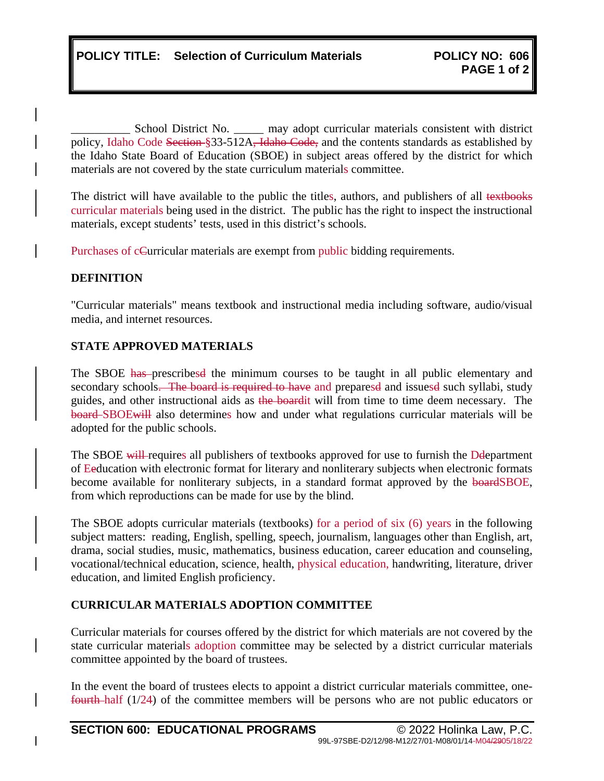School District No. \_\_\_\_\_\_ may adopt curricular materials consistent with district policy, Idaho Code Section §33-512A<del>, Idaho Code,</del> and the contents standards as established by the Idaho State Board of Education (SBOE) in subject areas offered by the district for which materials are not covered by the state curriculum materials committee.

The district will have available to the public the titles, authors, and publishers of all textbooks curricular materials being used in the district. The public has the right to inspect the instructional materials, except students' tests, used in this district's schools.

Purchases of cCurricular materials are exempt from public bidding requirements.

### **DEFINITION**

"Curricular materials" means textbook and instructional media including software, audio/visual media, and internet resources.

### **STATE APPROVED MATERIALS**

The SBOE has prescribesd the minimum courses to be taught in all public elementary and secondary schools. The board is required to have and preparesd and issuesd such syllabi, study guides, and other instructional aids as the boardit will from time to time deem necessary. The board SBOEwill also determines how and under what regulations curricular materials will be adopted for the public schools.

The SBOE will requires all publishers of textbooks approved for use to furnish the Deepartment of Eeducation with electronic format for literary and nonliterary subjects when electronic formats become available for nonliterary subjects, in a standard format approved by the boardSBOE, from which reproductions can be made for use by the blind.

The SBOE adopts curricular materials (textbooks) for a period of six (6) years in the following subject matters: reading, English, spelling, speech, journalism, languages other than English, art, drama, social studies, music, mathematics, business education, career education and counseling, vocational/technical education, science, health, physical education, handwriting, literature, driver education, and limited English proficiency.

### **CURRICULAR MATERIALS ADOPTION COMMITTEE**

Curricular materials for courses offered by the district for which materials are not covered by the state curricular materials adoption committee may be selected by a district curricular materials committee appointed by the board of trustees.

In the event the board of trustees elects to appoint a district curricular materials committee, onefourth half (1/24) of the committee members will be persons who are not public educators or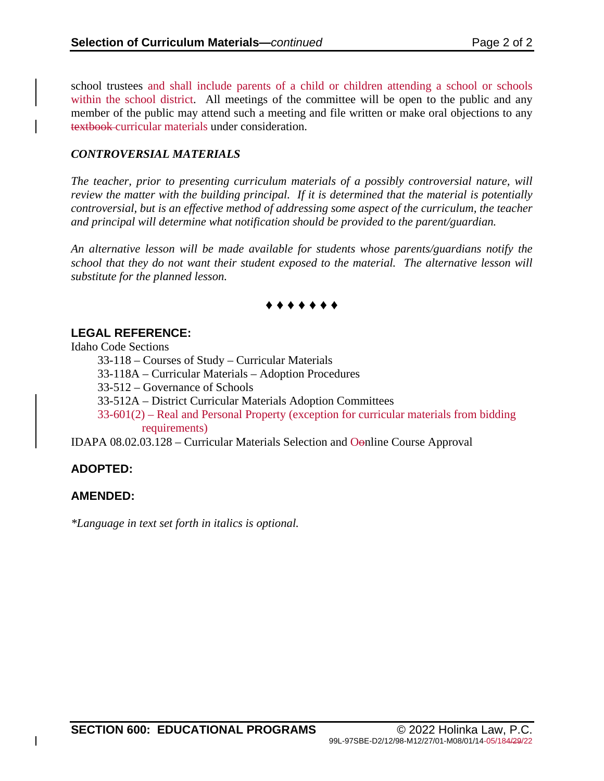school trustees and shall include parents of a child or children attending a school or schools within the school district. All meetings of the committee will be open to the public and any member of the public may attend such a meeting and file written or make oral objections to any textbook curricular materials under consideration.

#### *CONTROVERSIAL MATERIALS*

*The teacher, prior to presenting curriculum materials of a possibly controversial nature, will review the matter with the building principal. If it is determined that the material is potentially controversial, but is an effective method of addressing some aspect of the curriculum, the teacher and principal will determine what notification should be provided to the parent/guardian.* 

*An alternative lesson will be made available for students whose parents/guardians notify the school that they do not want their student exposed to the material. The alternative lesson will substitute for the planned lesson.* 

## **♦ ♦ ♦ ♦ ♦ ♦ ♦**

### **LEGAL REFERENCE:**

Idaho Code Sections

33-118 – Courses of Study – Curricular Materials

33-118A – Curricular Materials – Adoption Procedures

33-512 – Governance of Schools

33-512A – District Curricular Materials Adoption Committees

33-601(2) – Real and Personal Property (exception for curricular materials from bidding requirements)

IDAPA 08.02.03.128 – Curricular Materials Selection and Oonline Course Approval

### **ADOPTED:**

### **AMENDED:**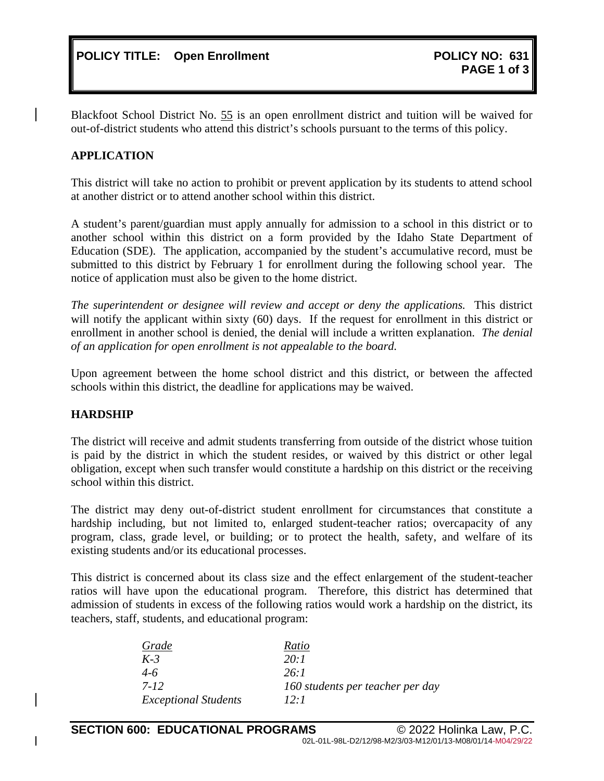Blackfoot School District No. 55 is an open enrollment district and tuition will be waived for out-of-district students who attend this district's schools pursuant to the terms of this policy.

### **APPLICATION**

This district will take no action to prohibit or prevent application by its students to attend school at another district or to attend another school within this district.

A student's parent/guardian must apply annually for admission to a school in this district or to another school within this district on a form provided by the Idaho State Department of Education (SDE). The application, accompanied by the student's accumulative record, must be submitted to this district by February 1 for enrollment during the following school year. The notice of application must also be given to the home district.

*The superintendent or designee will review and accept or deny the applications.* This district will notify the applicant within sixty (60) days. If the request for enrollment in this district or enrollment in another school is denied, the denial will include a written explanation. *The denial of an application for open enrollment is not appealable to the board.*

Upon agreement between the home school district and this district, or between the affected schools within this district, the deadline for applications may be waived.

### **HARDSHIP**

The district will receive and admit students transferring from outside of the district whose tuition is paid by the district in which the student resides, or waived by this district or other legal obligation, except when such transfer would constitute a hardship on this district or the receiving school within this district.

The district may deny out-of-district student enrollment for circumstances that constitute a hardship including, but not limited to, enlarged student-teacher ratios; overcapacity of any program, class, grade level, or building; or to protect the health, safety, and welfare of its existing students and/or its educational processes.

This district is concerned about its class size and the effect enlargement of the student-teacher ratios will have upon the educational program. Therefore, this district has determined that admission of students in excess of the following ratios would work a hardship on the district, its teachers, staff, students, and educational program:

| Grade                       | Ratio                            |
|-----------------------------|----------------------------------|
| $K-3$                       | 20:1                             |
| $4-6$                       | 26:1                             |
| 7-12                        | 160 students per teacher per day |
| <b>Exceptional Students</b> | $12 \cdot 1$                     |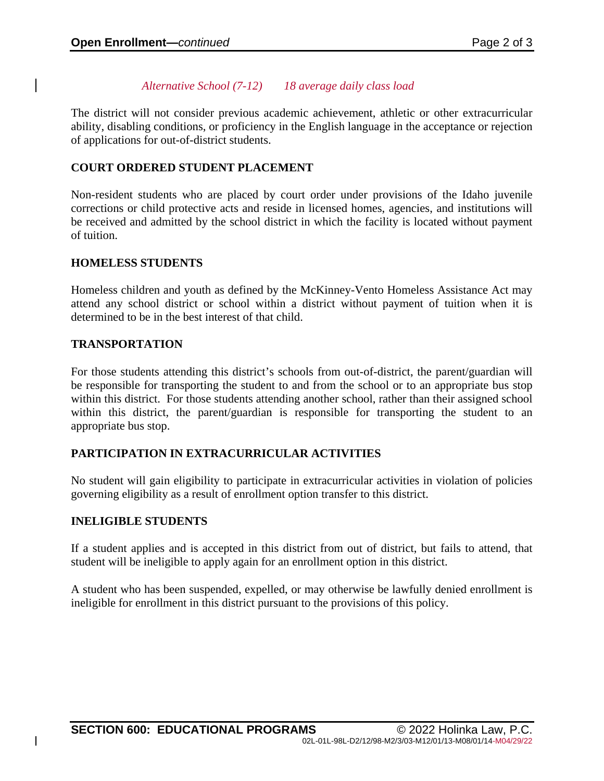### *Alternative School (7-12) 18 average daily class load*

The district will not consider previous academic achievement, athletic or other extracurricular ability, disabling conditions, or proficiency in the English language in the acceptance or rejection of applications for out-of-district students.

### **COURT ORDERED STUDENT PLACEMENT**

Non-resident students who are placed by court order under provisions of the Idaho juvenile corrections or child protective acts and reside in licensed homes, agencies, and institutions will be received and admitted by the school district in which the facility is located without payment of tuition.

### **HOMELESS STUDENTS**

Homeless children and youth as defined by the McKinney-Vento Homeless Assistance Act may attend any school district or school within a district without payment of tuition when it is determined to be in the best interest of that child.

### **TRANSPORTATION**

For those students attending this district's schools from out-of-district, the parent/guardian will be responsible for transporting the student to and from the school or to an appropriate bus stop within this district. For those students attending another school, rather than their assigned school within this district, the parent/guardian is responsible for transporting the student to an appropriate bus stop.

### **PARTICIPATION IN EXTRACURRICULAR ACTIVITIES**

No student will gain eligibility to participate in extracurricular activities in violation of policies governing eligibility as a result of enrollment option transfer to this district.

#### **INELIGIBLE STUDENTS**

If a student applies and is accepted in this district from out of district, but fails to attend, that student will be ineligible to apply again for an enrollment option in this district.

A student who has been suspended, expelled, or may otherwise be lawfully denied enrollment is ineligible for enrollment in this district pursuant to the provisions of this policy.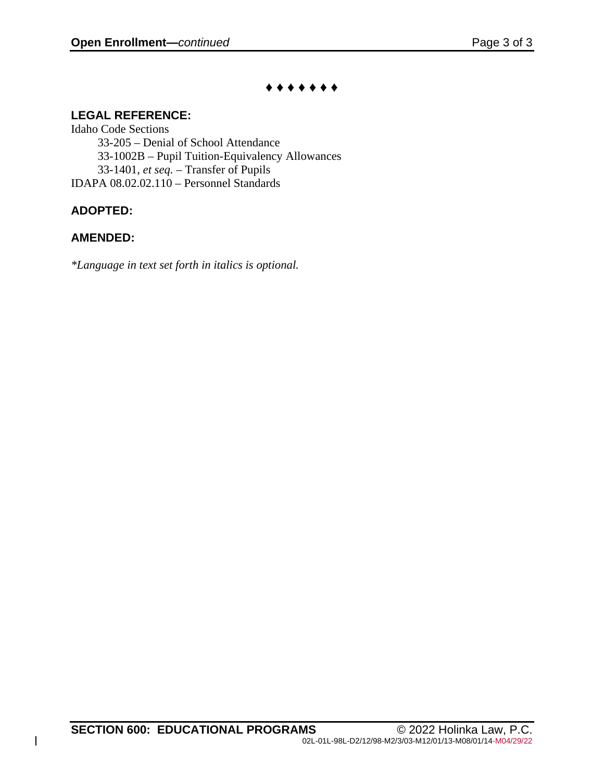## **♦ ♦ ♦ ♦ ♦ ♦ ♦**

# **LEGAL REFERENCE:**

Idaho Code Sections 33-205 – Denial of School Attendance 33-1002B – Pupil Tuition-Equivalency Allowances 33-1401, *et seq.* – Transfer of Pupils IDAPA 08.02.02.110 – Personnel Standards

# **ADOPTED:**

# **AMENDED:**

 $\overline{\phantom{a}}$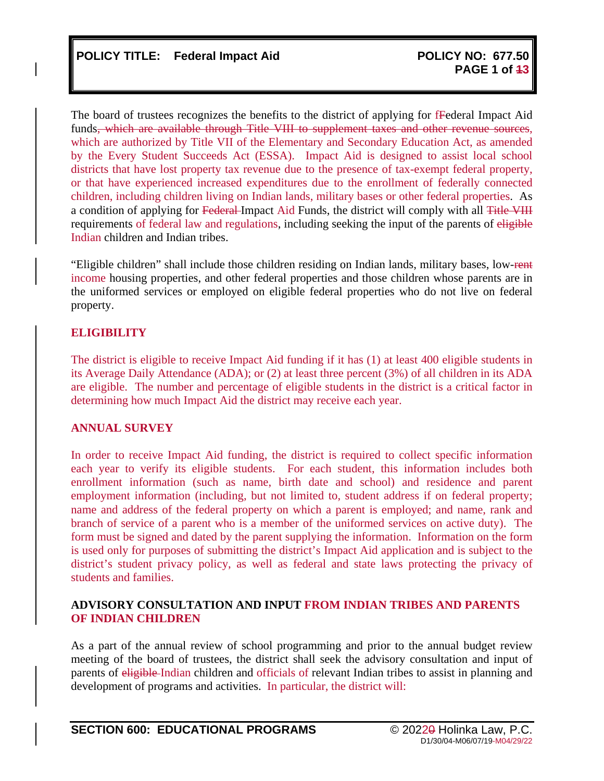The board of trustees recognizes the benefits to the district of applying for fFederal Impact Aid funds<del>, which are available through Title VIII to supplement taxes and other revenue sources</del>, which are authorized by Title VII of the Elementary and Secondary Education Act, as amended by the Every Student Succeeds Act (ESSA). Impact Aid is designed to assist local school districts that have lost property tax revenue due to the presence of tax-exempt federal property, or that have experienced increased expenditures due to the enrollment of federally connected children, including children living on Indian lands, military bases or other federal properties. As a condition of applying for Federal-Impact Aid Funds, the district will comply with all Title VIII requirements of federal law and regulations, including seeking the input of the parents of eligible Indian children and Indian tribes.

"Eligible children" shall include those children residing on Indian lands, military bases, low-rent income housing properties, and other federal properties and those children whose parents are in the uniformed services or employed on eligible federal properties who do not live on federal property.

### **ELIGIBILITY**

The district is eligible to receive Impact Aid funding if it has (1) at least 400 eligible students in its Average Daily Attendance (ADA); or (2) at least three percent (3%) of all children in its ADA are eligible. The number and percentage of eligible students in the district is a critical factor in determining how much Impact Aid the district may receive each year.

### **ANNUAL SURVEY**

In order to receive Impact Aid funding, the district is required to collect specific information each year to verify its eligible students. For each student, this information includes both enrollment information (such as name, birth date and school) and residence and parent employment information (including, but not limited to, student address if on federal property; name and address of the federal property on which a parent is employed; and name, rank and branch of service of a parent who is a member of the uniformed services on active duty). The form must be signed and dated by the parent supplying the information. Information on the form is used only for purposes of submitting the district's Impact Aid application and is subject to the district's student privacy policy, as well as federal and state laws protecting the privacy of students and families.

### **ADVISORY CONSULTATION AND INPUT FROM INDIAN TRIBES AND PARENTS OF INDIAN CHILDREN**

As a part of the annual review of school programming and prior to the annual budget review meeting of the board of trustees, the district shall seek the advisory consultation and input of parents of eligible-Indian children and officials of relevant Indian tribes to assist in planning and development of programs and activities. In particular, the district will: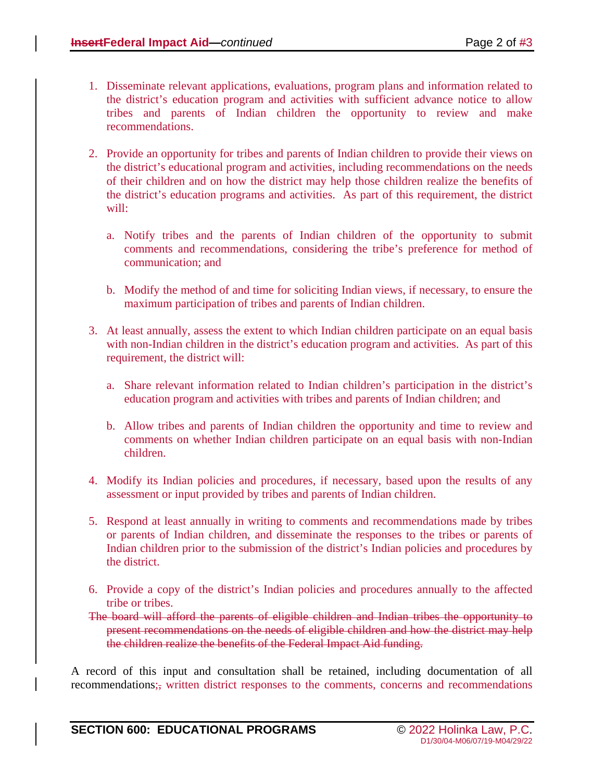- 1. Disseminate relevant applications, evaluations, program plans and information related to the district's education program and activities with sufficient advance notice to allow tribes and parents of Indian children the opportunity to review and make recommendations.
- 2. Provide an opportunity for tribes and parents of Indian children to provide their views on the district's educational program and activities, including recommendations on the needs of their children and on how the district may help those children realize the benefits of the district's education programs and activities. As part of this requirement, the district will:
	- a. Notify tribes and the parents of Indian children of the opportunity to submit comments and recommendations, considering the tribe's preference for method of communication; and
	- b. Modify the method of and time for soliciting Indian views, if necessary, to ensure the maximum participation of tribes and parents of Indian children.
- 3. At least annually, assess the extent to which Indian children participate on an equal basis with non-Indian children in the district's education program and activities. As part of this requirement, the district will:
	- a. Share relevant information related to Indian children's participation in the district's education program and activities with tribes and parents of Indian children; and
	- b. Allow tribes and parents of Indian children the opportunity and time to review and comments on whether Indian children participate on an equal basis with non-Indian children.
- 4. Modify its Indian policies and procedures, if necessary, based upon the results of any assessment or input provided by tribes and parents of Indian children.
- 5. Respond at least annually in writing to comments and recommendations made by tribes or parents of Indian children, and disseminate the responses to the tribes or parents of Indian children prior to the submission of the district's Indian policies and procedures by the district.
- 6. Provide a copy of the district's Indian policies and procedures annually to the affected tribe or tribes.
- The board will afford the parents of eligible children and Indian tribes the opportunity to present recommendations on the needs of eligible children and how the district may help the children realize the benefits of the Federal Impact Aid funding.

A record of this input and consultation shall be retained, including documentation of all recommendations;, written district responses to the comments, concerns and recommendations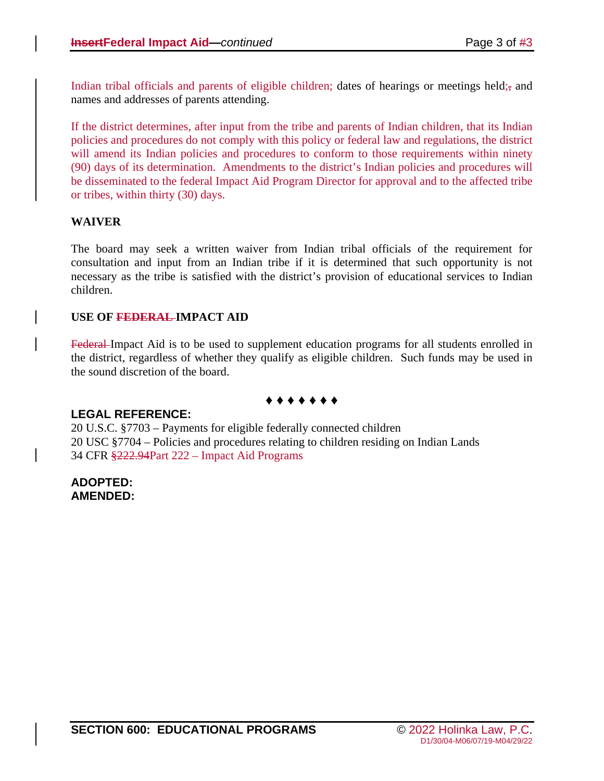Indian tribal officials and parents of eligible children; dates of hearings or meetings held; and names and addresses of parents attending.

If the district determines, after input from the tribe and parents of Indian children, that its Indian policies and procedures do not comply with this policy or federal law and regulations, the district will amend its Indian policies and procedures to conform to those requirements within ninety (90) days of its determination. Amendments to the district's Indian policies and procedures will be disseminated to the federal Impact Aid Program Director for approval and to the affected tribe or tribes, within thirty (30) days.

### **WAIVER**

The board may seek a written waiver from Indian tribal officials of the requirement for consultation and input from an Indian tribe if it is determined that such opportunity is not necessary as the tribe is satisfied with the district's provision of educational services to Indian children.

### **USE OF FEDERAL IMPACT AID**

Federal-Impact Aid is to be used to supplement education programs for all students enrolled in the district, regardless of whether they qualify as eligible children. Such funds may be used in the sound discretion of the board.

### **♦ ♦ ♦ ♦ ♦ ♦ ♦**

### **LEGAL REFERENCE:**

20 U.S.C. §7703 – Payments for eligible federally connected children 20 USC §7704 – Policies and procedures relating to children residing on Indian Lands 34 CFR §222.94Part 222 – Impact Aid Programs

**ADOPTED: AMENDED:**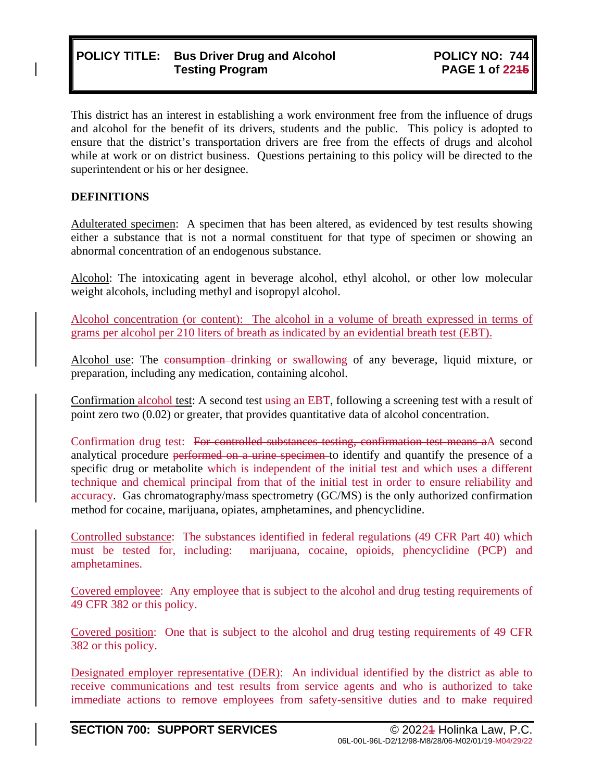# **POLICY TITLE: Bus Driver Drug and Alcohol Testing Program**

This district has an interest in establishing a work environment free from the influence of drugs and alcohol for the benefit of its drivers, students and the public. This policy is adopted to ensure that the district's transportation drivers are free from the effects of drugs and alcohol while at work or on district business. Questions pertaining to this policy will be directed to the superintendent or his or her designee.

### **DEFINITIONS**

Adulterated specimen: A specimen that has been altered, as evidenced by test results showing either a substance that is not a normal constituent for that type of specimen or showing an abnormal concentration of an endogenous substance.

Alcohol: The intoxicating agent in beverage alcohol, ethyl alcohol, or other low molecular weight alcohols, including methyl and isopropyl alcohol.

Alcohol concentration (or content): The alcohol in a volume of breath expressed in terms of grams per alcohol per 210 liters of breath as indicated by an evidential breath test (EBT).

Alcohol use: The consumption drinking or swallowing of any beverage, liquid mixture, or preparation, including any medication, containing alcohol.

Confirmation alcohol test: A second test using an EBT, following a screening test with a result of point zero two (0.02) or greater, that provides quantitative data of alcohol concentration.

Confirmation drug test: For controlled substances testing, confirmation test means aA second analytical procedure performed on a urine specimen to identify and quantify the presence of a specific drug or metabolite which is independent of the initial test and which uses a different technique and chemical principal from that of the initial test in order to ensure reliability and accuracy. Gas chromatography/mass spectrometry (GC/MS) is the only authorized confirmation method for cocaine, marijuana, opiates, amphetamines, and phencyclidine.

Controlled substance: The substances identified in federal regulations (49 CFR Part 40) which must be tested for, including: marijuana, cocaine, opioids, phencyclidine (PCP) and amphetamines.

Covered employee: Any employee that is subject to the alcohol and drug testing requirements of 49 CFR 382 or this policy.

Covered position: One that is subject to the alcohol and drug testing requirements of 49 CFR 382 or this policy.

Designated employer representative (DER): An individual identified by the district as able to receive communications and test results from service agents and who is authorized to take immediate actions to remove employees from safety-sensitive duties and to make required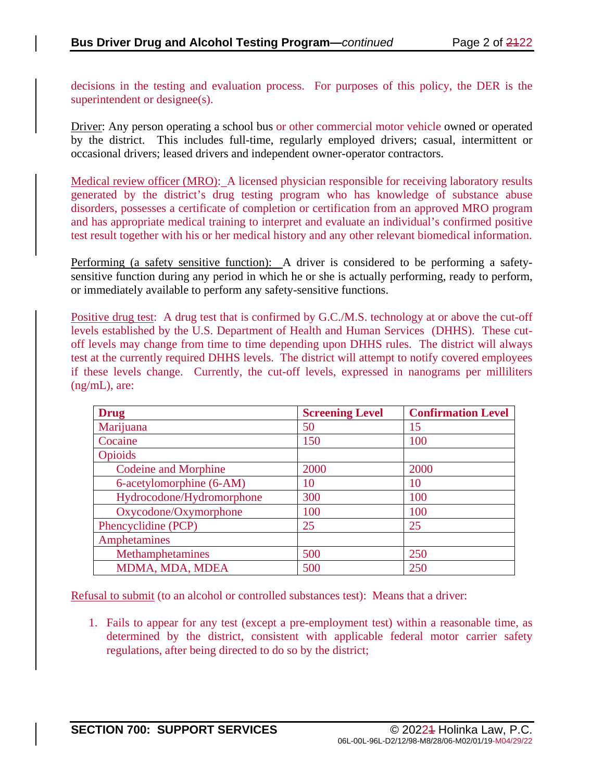decisions in the testing and evaluation process. For purposes of this policy, the DER is the superintendent or designee(s).

Driver: Any person operating a school bus or other commercial motor vehicle owned or operated by the district. This includes full-time, regularly employed drivers; casual, intermittent or occasional drivers; leased drivers and independent owner-operator contractors.

Medical review officer (MRO): A licensed physician responsible for receiving laboratory results generated by the district's drug testing program who has knowledge of substance abuse disorders, possesses a certificate of completion or certification from an approved MRO program and has appropriate medical training to interpret and evaluate an individual's confirmed positive test result together with his or her medical history and any other relevant biomedical information.

Performing (a safety sensitive function): A driver is considered to be performing a safetysensitive function during any period in which he or she is actually performing, ready to perform, or immediately available to perform any safety-sensitive functions.

Positive drug test: A drug test that is confirmed by G.C./M.S. technology at or above the cut-off levels established by the U.S. Department of Health and Human Services (DHHS). These cutoff levels may change from time to time depending upon DHHS rules. The district will always test at the currently required DHHS levels. The district will attempt to notify covered employees if these levels change. Currently, the cut-off levels, expressed in nanograms per milliliters (ng/mL), are:

| <b>Drug</b>                 | <b>Screening Level</b> | <b>Confirmation Level</b> |
|-----------------------------|------------------------|---------------------------|
| Marijuana                   | 50                     | 15                        |
| Cocaine                     | 150                    | 100                       |
| Opioids                     |                        |                           |
| <b>Codeine and Morphine</b> | 2000                   | 2000                      |
| 6-acetylomorphine (6-AM)    | 10                     | 10                        |
| Hydrocodone/Hydromorphone   | 300                    | 100                       |
| Oxycodone/Oxymorphone       | 100                    | 100                       |
| Phencyclidine (PCP)         | 25                     | 25                        |
| Amphetamines                |                        |                           |
| Methamphetamines            | 500                    | 250                       |
| MDMA, MDA, MDEA             | 500                    | 250                       |

Refusal to submit (to an alcohol or controlled substances test): Means that a driver:

1. Fails to appear for any test (except a pre-employment test) within a reasonable time, as determined by the district, consistent with applicable federal motor carrier safety regulations, after being directed to do so by the district;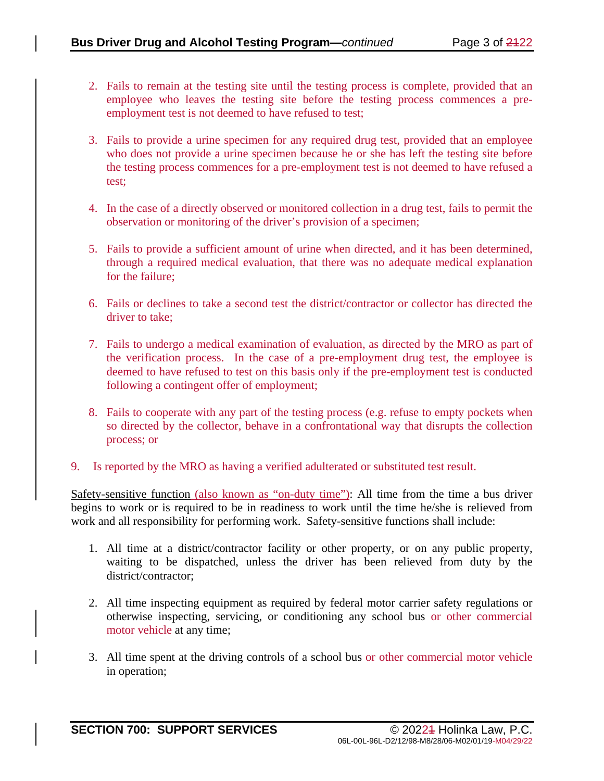- 2. Fails to remain at the testing site until the testing process is complete, provided that an employee who leaves the testing site before the testing process commences a preemployment test is not deemed to have refused to test;
- 3. Fails to provide a urine specimen for any required drug test, provided that an employee who does not provide a urine specimen because he or she has left the testing site before the testing process commences for a pre-employment test is not deemed to have refused a test;
- 4. In the case of a directly observed or monitored collection in a drug test, fails to permit the observation or monitoring of the driver's provision of a specimen;
- 5. Fails to provide a sufficient amount of urine when directed, and it has been determined, through a required medical evaluation, that there was no adequate medical explanation for the failure;
- 6. Fails or declines to take a second test the district/contractor or collector has directed the driver to take;
- 7. Fails to undergo a medical examination of evaluation, as directed by the MRO as part of the verification process. In the case of a pre-employment drug test, the employee is deemed to have refused to test on this basis only if the pre-employment test is conducted following a contingent offer of employment;
- 8. Fails to cooperate with any part of the testing process (e.g. refuse to empty pockets when so directed by the collector, behave in a confrontational way that disrupts the collection process; or
- 9. Is reported by the MRO as having a verified adulterated or substituted test result.

Safety-sensitive function (also known as "on-duty time"): All time from the time a bus driver begins to work or is required to be in readiness to work until the time he/she is relieved from work and all responsibility for performing work. Safety-sensitive functions shall include:

- 1. All time at a district/contractor facility or other property, or on any public property, waiting to be dispatched, unless the driver has been relieved from duty by the district/contractor;
- 2. All time inspecting equipment as required by federal motor carrier safety regulations or otherwise inspecting, servicing, or conditioning any school bus or other commercial motor vehicle at any time;
- 3. All time spent at the driving controls of a school bus or other commercial motor vehicle in operation;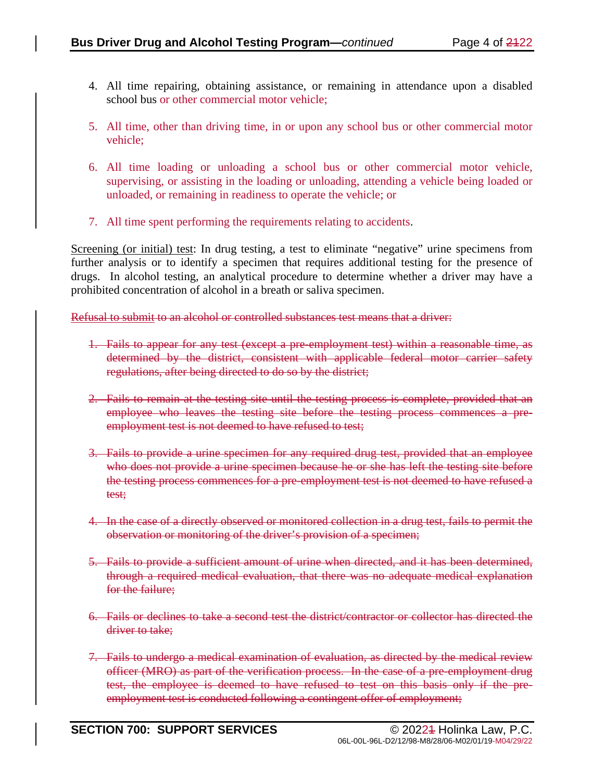- 4. All time repairing, obtaining assistance, or remaining in attendance upon a disabled school bus or other commercial motor vehicle;
- 5. All time, other than driving time, in or upon any school bus or other commercial motor vehicle;
- 6. All time loading or unloading a school bus or other commercial motor vehicle, supervising, or assisting in the loading or unloading, attending a vehicle being loaded or unloaded, or remaining in readiness to operate the vehicle; or
- 7. All time spent performing the requirements relating to accidents.

Screening (or initial) test: In drug testing, a test to eliminate "negative" urine specimens from further analysis or to identify a specimen that requires additional testing for the presence of drugs. In alcohol testing, an analytical procedure to determine whether a driver may have a prohibited concentration of alcohol in a breath or saliva specimen.

Refusal to submit to an alcohol or controlled substances test means that a driver:

- 1. Fails to appear for any test (except a pre-employment test) within a reasonable time, as determined by the district, consistent with applicable federal motor carrier safety regulations, after being directed to do so by the district;
- 2. Fails to remain at the testing site until the testing process is complete, provided that an employee who leaves the testing site before the testing process commences a preemployment test is not deemed to have refused to test;
- 3. Fails to provide a urine specimen for any required drug test, provided that an employee who does not provide a urine specimen because he or she has left the testing site before the testing process commences for a pre-employment test is not deemed to have refused a test;
- 4. In the case of a directly observed or monitored collection in a drug test, fails to permit the observation or monitoring of the driver's provision of a specimen;
- 5. Fails to provide a sufficient amount of urine when directed, and it has been determined, through a required medical evaluation, that there was no adequate medical explanation for the failure;
- 6. Fails or declines to take a second test the district/contractor or collector has directed the driver to take:
- 7. Fails to undergo a medical examination of evaluation, as directed by the medical review officer (MRO) as part of the verification process. In the case of a pre-employment drug test, the employee is deemed to have refused to test on this basis only if the preemployment test is conducted following a contingent offer of employment;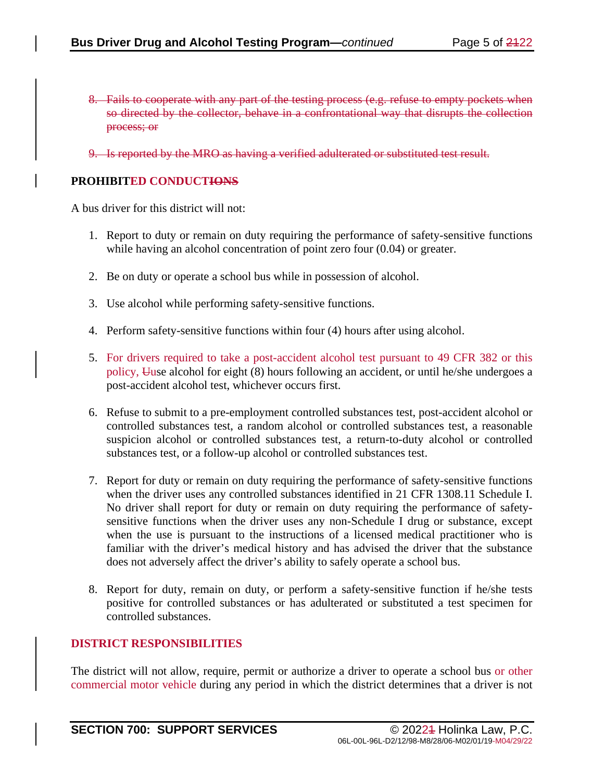- 8. Fails to cooperate with any part of the testing process (e.g. refuse to empty pockets when so directed by the collector, behave in a confrontational way that disrupts the collection process; or
- 9. Is reported by the MRO as having a verified adulterated or substituted test result.

#### **PROHIBITED CONDUCTIONS**

A bus driver for this district will not:

- 1. Report to duty or remain on duty requiring the performance of safety-sensitive functions while having an alcohol concentration of point zero four  $(0.04)$  or greater.
- 2. Be on duty or operate a school bus while in possession of alcohol.
- 3. Use alcohol while performing safety-sensitive functions.
- 4. Perform safety-sensitive functions within four (4) hours after using alcohol.
- 5. For drivers required to take a post-accident alcohol test pursuant to 49 CFR 382 or this policy, Uuse alcohol for eight (8) hours following an accident, or until he/she undergoes a post-accident alcohol test, whichever occurs first.
- 6. Refuse to submit to a pre-employment controlled substances test, post-accident alcohol or controlled substances test, a random alcohol or controlled substances test, a reasonable suspicion alcohol or controlled substances test, a return-to-duty alcohol or controlled substances test, or a follow-up alcohol or controlled substances test.
- 7. Report for duty or remain on duty requiring the performance of safety-sensitive functions when the driver uses any controlled substances identified in 21 CFR 1308.11 Schedule I. No driver shall report for duty or remain on duty requiring the performance of safetysensitive functions when the driver uses any non-Schedule I drug or substance, except when the use is pursuant to the instructions of a licensed medical practitioner who is familiar with the driver's medical history and has advised the driver that the substance does not adversely affect the driver's ability to safely operate a school bus.
- 8. Report for duty, remain on duty, or perform a safety-sensitive function if he/she tests positive for controlled substances or has adulterated or substituted a test specimen for controlled substances.

#### **DISTRICT RESPONSIBILITIES**

The district will not allow, require, permit or authorize a driver to operate a school bus or other commercial motor vehicle during any period in which the district determines that a driver is not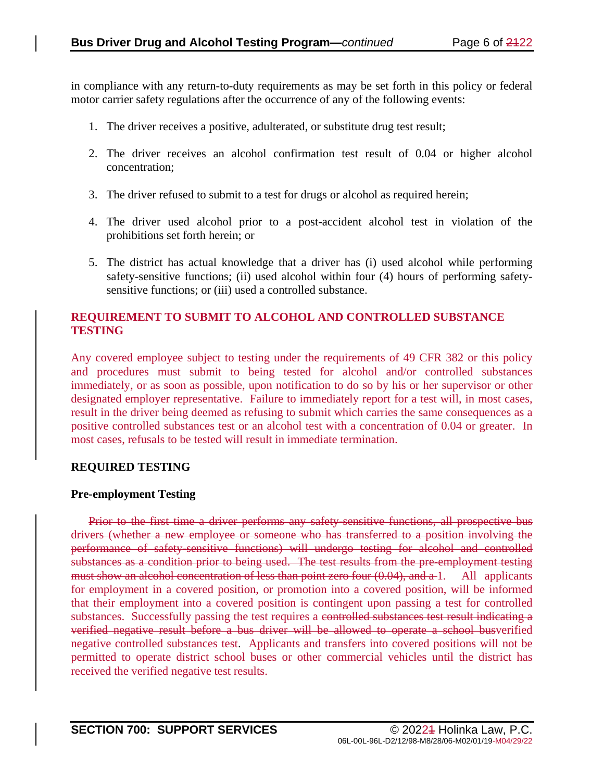in compliance with any return-to-duty requirements as may be set forth in this policy or federal motor carrier safety regulations after the occurrence of any of the following events:

- 1. The driver receives a positive, adulterated, or substitute drug test result;
- 2. The driver receives an alcohol confirmation test result of 0.04 or higher alcohol concentration;
- 3. The driver refused to submit to a test for drugs or alcohol as required herein;
- 4. The driver used alcohol prior to a post-accident alcohol test in violation of the prohibitions set forth herein; or
- 5. The district has actual knowledge that a driver has (i) used alcohol while performing safety-sensitive functions; (ii) used alcohol within four (4) hours of performing safetysensitive functions; or (iii) used a controlled substance.

### **REQUIREMENT TO SUBMIT TO ALCOHOL AND CONTROLLED SUBSTANCE TESTING**

Any covered employee subject to testing under the requirements of 49 CFR 382 or this policy and procedures must submit to being tested for alcohol and/or controlled substances immediately, or as soon as possible, upon notification to do so by his or her supervisor or other designated employer representative. Failure to immediately report for a test will, in most cases, result in the driver being deemed as refusing to submit which carries the same consequences as a positive controlled substances test or an alcohol test with a concentration of 0.04 or greater. In most cases, refusals to be tested will result in immediate termination.

### **REQUIRED TESTING**

#### **Pre-employment Testing**

Prior to the first time a driver performs any safety-sensitive functions, all prospective bus drivers (whether a new employee or someone who has transferred to a position involving the performance of safety-sensitive functions) will undergo testing for alcohol and controlled substances as a condition prior to being used. The test results from the pre-employment testing must show an alcohol concentration of less than point zero four (0.04), and a 1. All applicants for employment in a covered position, or promotion into a covered position, will be informed that their employment into a covered position is contingent upon passing a test for controlled substances. Successfully passing the test requires a controlled substances test result indicating a verified negative result before a bus driver will be allowed to operate a school busverified negative controlled substances test. Applicants and transfers into covered positions will not be permitted to operate district school buses or other commercial vehicles until the district has received the verified negative test results.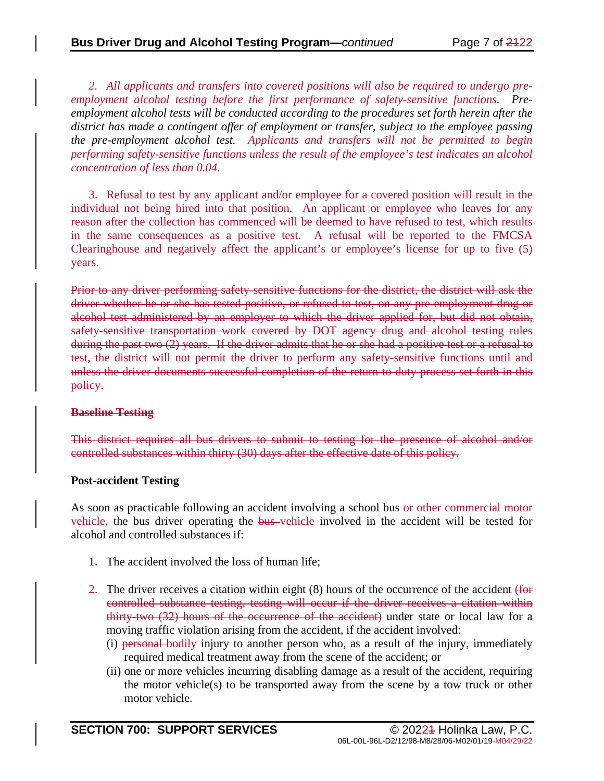*2. All applicants and transfers into covered positions will also be required to undergo preemployment alcohol testing before the first performance of safety-sensitive functions. Preemployment alcohol tests will be conducted according to the procedures set forth herein after the district has made a contingent offer of employment or transfer, subject to the employee passing the pre-employment alcohol test. Applicants and transfers will not be permitted to begin performing safety-sensitive functions unless the result of the employee's test indicates an alcohol concentration of less than 0.04.*

3. Refusal to test by any applicant and/or employee for a covered position will result in the individual not being hired into that position. An applicant or employee who leaves for any reason after the collection has commenced will be deemed to have refused to test, which results in the same consequences as a positive test. A refusal will be reported to the FMCSA Clearinghouse and negatively affect the applicant's or employee's license for up to five (5) years.

Prior to any driver performing safety sensitive functions for the district, the district will ask the driver whether he or she has tested positive, or refused to test, on any pre-employment drug or alcohol test administered by an employer to which the driver applied for, but did not obtain, safety-sensitive transportation work covered by DOT agency drug and alcohol testing rules during the past two (2) years. If the driver admits that he or she had a positive test or a refusal to test, the district will not permit the driver to perform any safety-sensitive functions until and unless the driver documents successful completion of the return-to-duty process set forth in this policy.

### **Baseline Testing**

This district requires all bus drivers to submit to testing for the presence of alcohol and/or controlled substances within thirty (30) days after the effective date of this policy.

### **Post-accident Testing**

As soon as practicable following an accident involving a school bus or other commercial motor vehicle, the bus driver operating the bus vehicle involved in the accident will be tested for alcohol and controlled substances if:

- 1. The accident involved the loss of human life;
- 2. The driver receives a citation within eight (8) hours of the occurrence of the accident (for controlled substance testing, testing will occur if the driver receives a citation within thirty-two (32) hours of the occurrence of the accident) under state or local law for a moving traffic violation arising from the accident, if the accident involved:
	- (i) personal bodily injury to another person who, as a result of the injury, immediately required medical treatment away from the scene of the accident; or
	- (ii) one or more vehicles incurring disabling damage as a result of the accident, requiring the motor vehicle(s) to be transported away from the scene by a tow truck or other motor vehicle.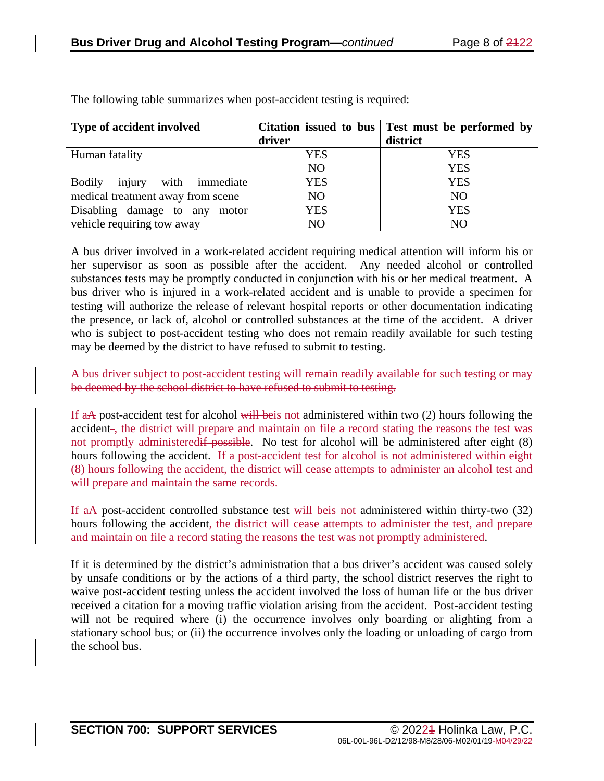| <b>Type of accident involved</b>             |                | Citation issued to bus   Test must be performed by |
|----------------------------------------------|----------------|----------------------------------------------------|
|                                              | driver         | district                                           |
| Human fatality                               | YES            | <b>YES</b>                                         |
|                                              | N <sub>O</sub> | <b>YES</b>                                         |
| injury<br><b>Bodily</b><br>with<br>immediate | <b>YES</b>     | <b>YES</b>                                         |
| medical treatment away from scene            | N <sub>O</sub> | N <sub>O</sub>                                     |
| Disabling damage to any<br>motor             | YES            | <b>YES</b>                                         |
| vehicle requiring tow away                   | N <sub>O</sub> | NO                                                 |

The following table summarizes when post-accident testing is required:

A bus driver involved in a work-related accident requiring medical attention will inform his or her supervisor as soon as possible after the accident. Any needed alcohol or controlled substances tests may be promptly conducted in conjunction with his or her medical treatment. A bus driver who is injured in a work-related accident and is unable to provide a specimen for testing will authorize the release of relevant hospital reports or other documentation indicating the presence, or lack of, alcohol or controlled substances at the time of the accident. A driver who is subject to post-accident testing who does not remain readily available for such testing may be deemed by the district to have refused to submit to testing.

A bus driver subject to post-accident testing will remain readily available for such testing or may be deemed by the school district to have refused to submit to testing.

If aA post-accident test for alcohol will beis not administered within two (2) hours following the accident-, the district will prepare and maintain on file a record stating the reasons the test was not promptly administeredif possible. No test for alcohol will be administered after eight (8) hours following the accident. If a post-accident test for alcohol is not administered within eight (8) hours following the accident, the district will cease attempts to administer an alcohol test and will prepare and maintain the same records.

If aA post-accident controlled substance test will be is not administered within thirty-two (32) hours following the accident, the district will cease attempts to administer the test, and prepare and maintain on file a record stating the reasons the test was not promptly administered.

If it is determined by the district's administration that a bus driver's accident was caused solely by unsafe conditions or by the actions of a third party, the school district reserves the right to waive post-accident testing unless the accident involved the loss of human life or the bus driver received a citation for a moving traffic violation arising from the accident. Post-accident testing will not be required where (i) the occurrence involves only boarding or alighting from a stationary school bus; or (ii) the occurrence involves only the loading or unloading of cargo from the school bus.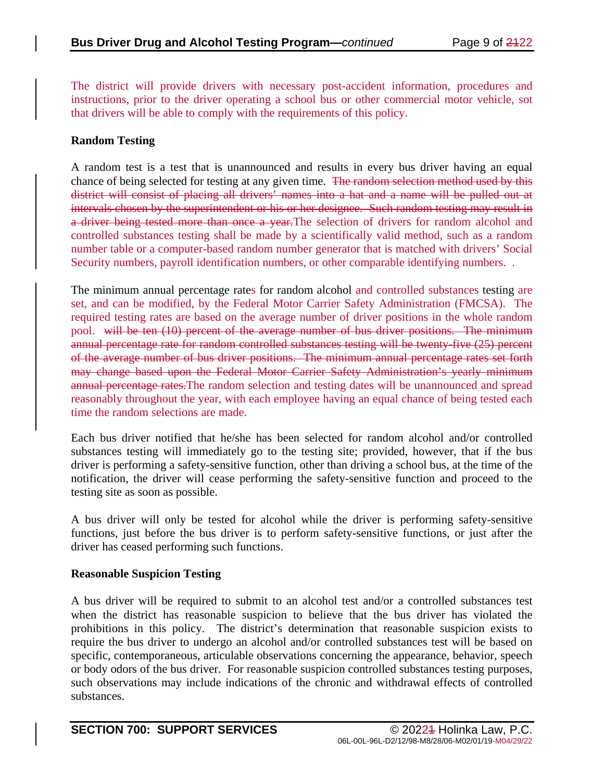The district will provide drivers with necessary post-accident information, procedures and instructions, prior to the driver operating a school bus or other commercial motor vehicle, sot that drivers will be able to comply with the requirements of this policy.

## **Random Testing**

A random test is a test that is unannounced and results in every bus driver having an equal chance of being selected for testing at any given time. The random selection method used by this district will consist of placing all drivers' names into a hat and a name will be pulled out at intervals chosen by the superintendent or his or her designee. Such random testing may result in a driver being tested more than once a year.The selection of drivers for random alcohol and controlled substances testing shall be made by a scientifically valid method, such as a random number table or a computer-based random number generator that is matched with drivers' Social Security numbers, payroll identification numbers, or other comparable identifying numbers. .

The minimum annual percentage rates for random alcohol and controlled substances testing are set, and can be modified, by the Federal Motor Carrier Safety Administration (FMCSA). The required testing rates are based on the average number of driver positions in the whole random pool. will be ten (10) percent of the average number of bus driver positions. The minimum annual percentage rate for random controlled substances testing will be twenty-five (25) percent of the average number of bus driver positions. The minimum annual percentage rates set forth may change based upon the Federal Motor Carrier Safety Administration's yearly minimum annual percentage rates.The random selection and testing dates will be unannounced and spread reasonably throughout the year, with each employee having an equal chance of being tested each time the random selections are made.

Each bus driver notified that he/she has been selected for random alcohol and/or controlled substances testing will immediately go to the testing site; provided, however, that if the bus driver is performing a safety-sensitive function, other than driving a school bus, at the time of the notification, the driver will cease performing the safety-sensitive function and proceed to the testing site as soon as possible.

A bus driver will only be tested for alcohol while the driver is performing safety-sensitive functions, just before the bus driver is to perform safety-sensitive functions, or just after the driver has ceased performing such functions.

### **Reasonable Suspicion Testing**

A bus driver will be required to submit to an alcohol test and/or a controlled substances test when the district has reasonable suspicion to believe that the bus driver has violated the prohibitions in this policy. The district's determination that reasonable suspicion exists to require the bus driver to undergo an alcohol and/or controlled substances test will be based on specific, contemporaneous, articulable observations concerning the appearance, behavior, speech or body odors of the bus driver. For reasonable suspicion controlled substances testing purposes, such observations may include indications of the chronic and withdrawal effects of controlled substances.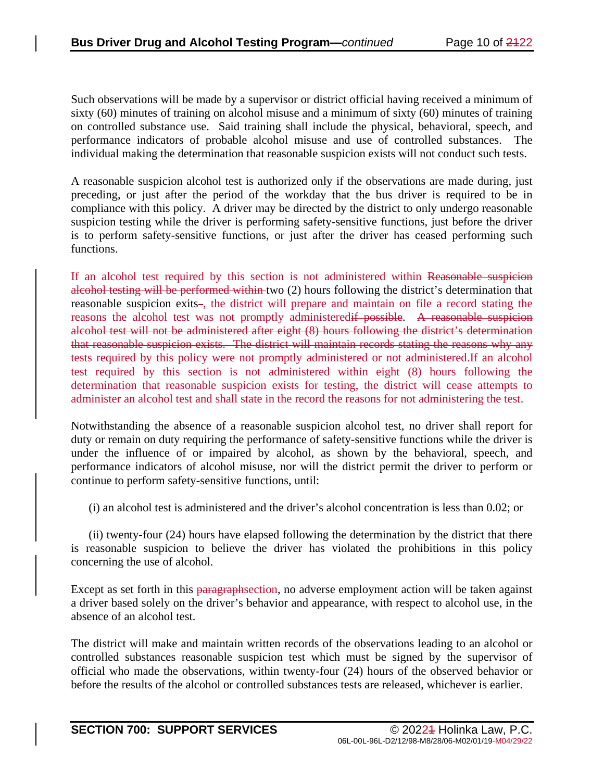Such observations will be made by a supervisor or district official having received a minimum of sixty (60) minutes of training on alcohol misuse and a minimum of sixty (60) minutes of training on controlled substance use. Said training shall include the physical, behavioral, speech, and performance indicators of probable alcohol misuse and use of controlled substances. The individual making the determination that reasonable suspicion exists will not conduct such tests.

A reasonable suspicion alcohol test is authorized only if the observations are made during, just preceding, or just after the period of the workday that the bus driver is required to be in compliance with this policy. A driver may be directed by the district to only undergo reasonable suspicion testing while the driver is performing safety-sensitive functions, just before the driver is to perform safety-sensitive functions, or just after the driver has ceased performing such functions.

If an alcohol test required by this section is not administered within Reasonable suspicion alcohol testing will be performed within two (2) hours following the district's determination that reasonable suspicion exits-, the district will prepare and maintain on file a record stating the reasons the alcohol test was not promptly administeredif possible. A reasonable suspicion alcohol test will not be administered after eight (8) hours following the district's determination that reasonable suspicion exists. The district will maintain records stating the reasons why any tests required by this policy were not promptly administered or not administered.If an alcohol test required by this section is not administered within eight (8) hours following the determination that reasonable suspicion exists for testing, the district will cease attempts to administer an alcohol test and shall state in the record the reasons for not administering the test.

Notwithstanding the absence of a reasonable suspicion alcohol test, no driver shall report for duty or remain on duty requiring the performance of safety-sensitive functions while the driver is under the influence of or impaired by alcohol, as shown by the behavioral, speech, and performance indicators of alcohol misuse, nor will the district permit the driver to perform or continue to perform safety-sensitive functions, until:

(i) an alcohol test is administered and the driver's alcohol concentration is less than 0.02; or

(ii) twenty-four (24) hours have elapsed following the determination by the district that there is reasonable suspicion to believe the driver has violated the prohibitions in this policy concerning the use of alcohol.

Except as set forth in this paragraphsection, no adverse employment action will be taken against a driver based solely on the driver's behavior and appearance, with respect to alcohol use, in the absence of an alcohol test.

The district will make and maintain written records of the observations leading to an alcohol or controlled substances reasonable suspicion test which must be signed by the supervisor of official who made the observations, within twenty-four (24) hours of the observed behavior or before the results of the alcohol or controlled substances tests are released, whichever is earlier.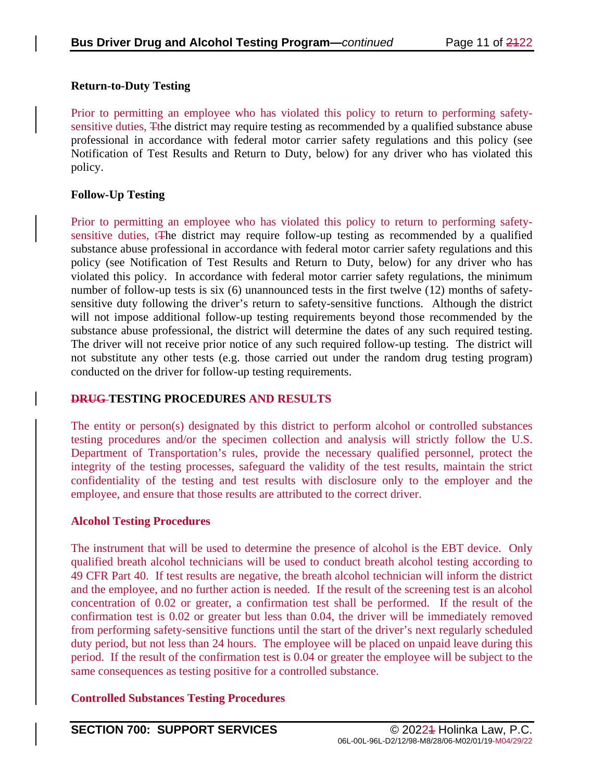#### **Return-to-Duty Testing**

Prior to permitting an employee who has violated this policy to return to performing safetysensitive duties, Tthe district may require testing as recommended by a qualified substance abuse professional in accordance with federal motor carrier safety regulations and this policy (see Notification of Test Results and Return to Duty, below) for any driver who has violated this policy.

### **Follow-Up Testing**

Prior to permitting an employee who has violated this policy to return to performing safetysensitive duties, tThe district may require follow-up testing as recommended by a qualified substance abuse professional in accordance with federal motor carrier safety regulations and this policy (see Notification of Test Results and Return to Duty, below) for any driver who has violated this policy. In accordance with federal motor carrier safety regulations, the minimum number of follow-up tests is six (6) unannounced tests in the first twelve (12) months of safetysensitive duty following the driver's return to safety-sensitive functions. Although the district will not impose additional follow-up testing requirements beyond those recommended by the substance abuse professional, the district will determine the dates of any such required testing. The driver will not receive prior notice of any such required follow-up testing. The district will not substitute any other tests (e.g. those carried out under the random drug testing program) conducted on the driver for follow-up testing requirements.

### **DRUG TESTING PROCEDURES AND RESULTS**

The entity or person(s) designated by this district to perform alcohol or controlled substances testing procedures and/or the specimen collection and analysis will strictly follow the U.S. Department of Transportation's rules, provide the necessary qualified personnel, protect the integrity of the testing processes, safeguard the validity of the test results, maintain the strict confidentiality of the testing and test results with disclosure only to the employer and the employee, and ensure that those results are attributed to the correct driver.

### **Alcohol Testing Procedures**

The instrument that will be used to determine the presence of alcohol is the EBT device. Only qualified breath alcohol technicians will be used to conduct breath alcohol testing according to 49 CFR Part 40. If test results are negative, the breath alcohol technician will inform the district and the employee, and no further action is needed. If the result of the screening test is an alcohol concentration of 0.02 or greater, a confirmation test shall be performed. If the result of the confirmation test is 0.02 or greater but less than 0.04, the driver will be immediately removed from performing safety-sensitive functions until the start of the driver's next regularly scheduled duty period, but not less than 24 hours. The employee will be placed on unpaid leave during this period. If the result of the confirmation test is 0.04 or greater the employee will be subject to the same consequences as testing positive for a controlled substance.

### **Controlled Substances Testing Procedures**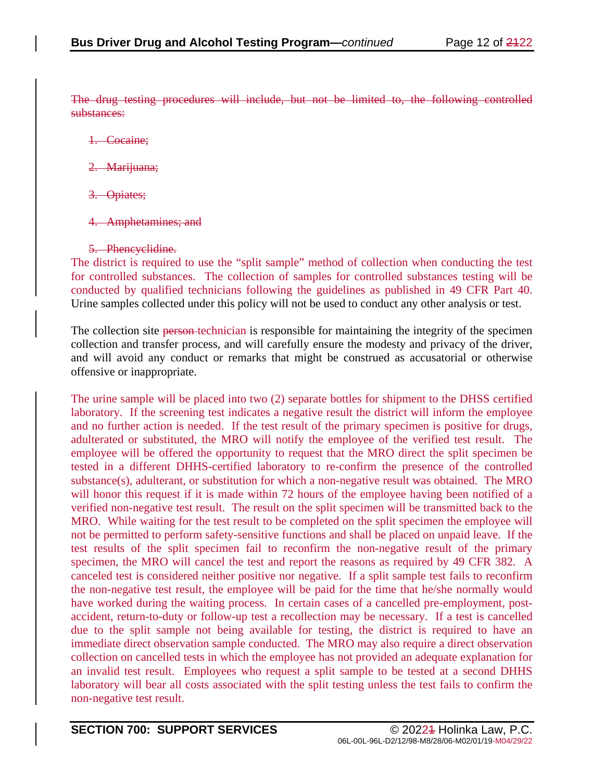The drug testing procedures will include, but not be limited to, the following controlled substances:

- 1. Cocaine;
- 2. Marijuana;
- 3. Opiates;
- 4. Amphetamines; and
- 5. Phencyclidine.

The district is required to use the "split sample" method of collection when conducting the test for controlled substances. The collection of samples for controlled substances testing will be conducted by qualified technicians following the guidelines as published in 49 CFR Part 40. Urine samples collected under this policy will not be used to conduct any other analysis or test.

The collection site person-technician is responsible for maintaining the integrity of the specimen collection and transfer process, and will carefully ensure the modesty and privacy of the driver, and will avoid any conduct or remarks that might be construed as accusatorial or otherwise offensive or inappropriate.

The urine sample will be placed into two (2) separate bottles for shipment to the DHSS certified laboratory. If the screening test indicates a negative result the district will inform the employee and no further action is needed. If the test result of the primary specimen is positive for drugs, adulterated or substituted, the MRO will notify the employee of the verified test result. The employee will be offered the opportunity to request that the MRO direct the split specimen be tested in a different DHHS-certified laboratory to re-confirm the presence of the controlled substance(s), adulterant, or substitution for which a non-negative result was obtained. The MRO will honor this request if it is made within 72 hours of the employee having been notified of a verified non-negative test result. The result on the split specimen will be transmitted back to the MRO. While waiting for the test result to be completed on the split specimen the employee will not be permitted to perform safety-sensitive functions and shall be placed on unpaid leave. If the test results of the split specimen fail to reconfirm the non-negative result of the primary specimen, the MRO will cancel the test and report the reasons as required by 49 CFR 382. A canceled test is considered neither positive nor negative. If a split sample test fails to reconfirm the non-negative test result, the employee will be paid for the time that he/she normally would have worked during the waiting process. In certain cases of a cancelled pre-employment, postaccident, return-to-duty or follow-up test a recollection may be necessary. If a test is cancelled due to the split sample not being available for testing, the district is required to have an immediate direct observation sample conducted. The MRO may also require a direct observation collection on cancelled tests in which the employee has not provided an adequate explanation for an invalid test result. Employees who request a split sample to be tested at a second DHHS laboratory will bear all costs associated with the split testing unless the test fails to confirm the non-negative test result.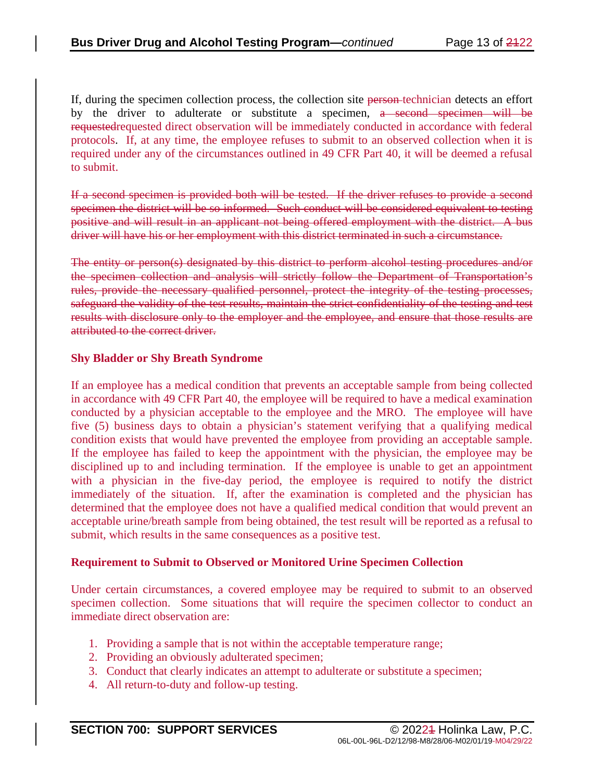If, during the specimen collection process, the collection site person technician detects an effort by the driver to adulterate or substitute a specimen, a second specimen will be requestedrequested direct observation will be immediately conducted in accordance with federal protocols. If, at any time, the employee refuses to submit to an observed collection when it is required under any of the circumstances outlined in 49 CFR Part 40, it will be deemed a refusal to submit.

If a second specimen is provided both will be tested. If the driver refuses to provide a second specimen the district will be so informed. Such conduct will be considered equivalent to testing positive and will result in an applicant not being offered employment with the district. A bus driver will have his or her employment with this district terminated in such a circumstance.

The entity or person(s) designated by this district to perform alcohol testing procedures and/or the specimen collection and analysis will strictly follow the Department of Transportation's rules, provide the necessary qualified personnel, protect the integrity of the testing processes, safeguard the validity of the test results, maintain the strict confidentiality of the testing and test results with disclosure only to the employer and the employee, and ensure that those results are attributed to the correct driver.

#### **Shy Bladder or Shy Breath Syndrome**

If an employee has a medical condition that prevents an acceptable sample from being collected in accordance with 49 CFR Part 40, the employee will be required to have a medical examination conducted by a physician acceptable to the employee and the MRO. The employee will have five (5) business days to obtain a physician's statement verifying that a qualifying medical condition exists that would have prevented the employee from providing an acceptable sample. If the employee has failed to keep the appointment with the physician, the employee may be disciplined up to and including termination. If the employee is unable to get an appointment with a physician in the five-day period, the employee is required to notify the district immediately of the situation. If, after the examination is completed and the physician has determined that the employee does not have a qualified medical condition that would prevent an acceptable urine/breath sample from being obtained, the test result will be reported as a refusal to submit, which results in the same consequences as a positive test.

#### **Requirement to Submit to Observed or Monitored Urine Specimen Collection**

Under certain circumstances, a covered employee may be required to submit to an observed specimen collection. Some situations that will require the specimen collector to conduct an immediate direct observation are:

- 1. Providing a sample that is not within the acceptable temperature range;
- 2. Providing an obviously adulterated specimen;
- 3. Conduct that clearly indicates an attempt to adulterate or substitute a specimen;
- 4. All return-to-duty and follow-up testing.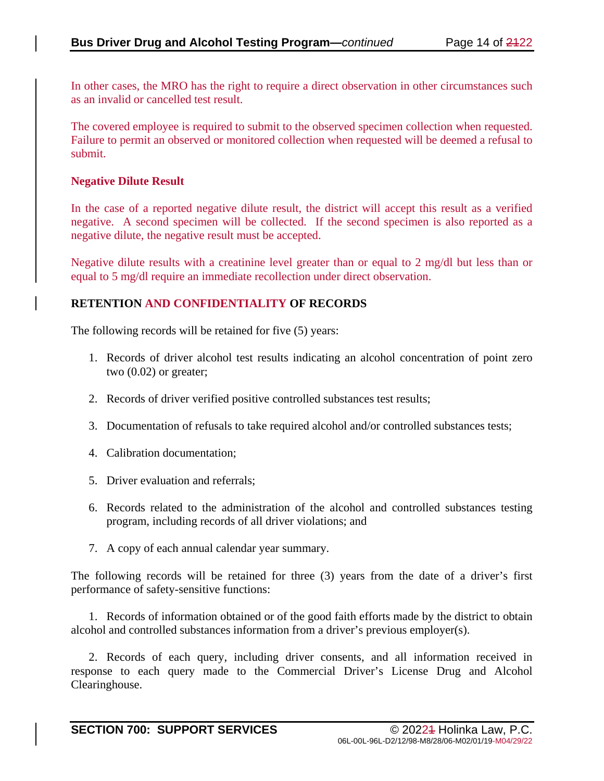In other cases, the MRO has the right to require a direct observation in other circumstances such as an invalid or cancelled test result.

The covered employee is required to submit to the observed specimen collection when requested. Failure to permit an observed or monitored collection when requested will be deemed a refusal to submit.

#### **Negative Dilute Result**

In the case of a reported negative dilute result, the district will accept this result as a verified negative. A second specimen will be collected. If the second specimen is also reported as a negative dilute, the negative result must be accepted.

Negative dilute results with a creatinine level greater than or equal to 2 mg/dl but less than or equal to 5 mg/dl require an immediate recollection under direct observation.

### **RETENTION AND CONFIDENTIALITY OF RECORDS**

The following records will be retained for five (5) years:

- 1. Records of driver alcohol test results indicating an alcohol concentration of point zero two (0.02) or greater;
- 2. Records of driver verified positive controlled substances test results;
- 3. Documentation of refusals to take required alcohol and/or controlled substances tests;
- 4. Calibration documentation;
- 5. Driver evaluation and referrals;
- 6. Records related to the administration of the alcohol and controlled substances testing program, including records of all driver violations; and
- 7. A copy of each annual calendar year summary.

The following records will be retained for three (3) years from the date of a driver's first performance of safety-sensitive functions:

1. Records of information obtained or of the good faith efforts made by the district to obtain alcohol and controlled substances information from a driver's previous employer(s).

2. Records of each query, including driver consents, and all information received in response to each query made to the Commercial Driver's License Drug and Alcohol Clearinghouse.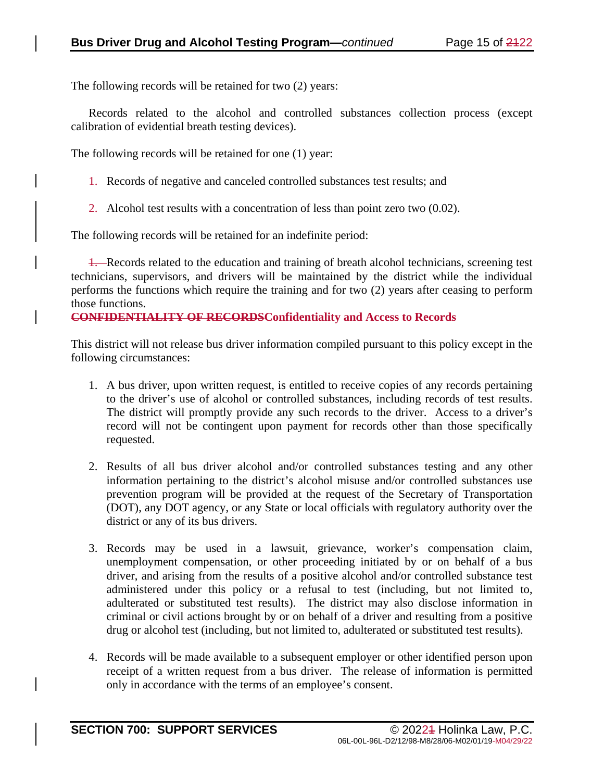The following records will be retained for two (2) years:

Records related to the alcohol and controlled substances collection process (except calibration of evidential breath testing devices).

The following records will be retained for one (1) year:

- 1. Records of negative and canceled controlled substances test results; and
- 2. Alcohol test results with a concentration of less than point zero two (0.02).

The following records will be retained for an indefinite period:

1. Records related to the education and training of breath alcohol technicians, screening test technicians, supervisors, and drivers will be maintained by the district while the individual performs the functions which require the training and for two (2) years after ceasing to perform those functions.

#### **CONFIDENTIALITY OF RECORDSConfidentiality and Access to Records**

This district will not release bus driver information compiled pursuant to this policy except in the following circumstances:

- 1. A bus driver, upon written request, is entitled to receive copies of any records pertaining to the driver's use of alcohol or controlled substances, including records of test results. The district will promptly provide any such records to the driver. Access to a driver's record will not be contingent upon payment for records other than those specifically requested.
- 2. Results of all bus driver alcohol and/or controlled substances testing and any other information pertaining to the district's alcohol misuse and/or controlled substances use prevention program will be provided at the request of the Secretary of Transportation (DOT), any DOT agency, or any State or local officials with regulatory authority over the district or any of its bus drivers.
- 3. Records may be used in a lawsuit, grievance, worker's compensation claim, unemployment compensation, or other proceeding initiated by or on behalf of a bus driver, and arising from the results of a positive alcohol and/or controlled substance test administered under this policy or a refusal to test (including, but not limited to, adulterated or substituted test results). The district may also disclose information in criminal or civil actions brought by or on behalf of a driver and resulting from a positive drug or alcohol test (including, but not limited to, adulterated or substituted test results).
- 4. Records will be made available to a subsequent employer or other identified person upon receipt of a written request from a bus driver. The release of information is permitted only in accordance with the terms of an employee's consent.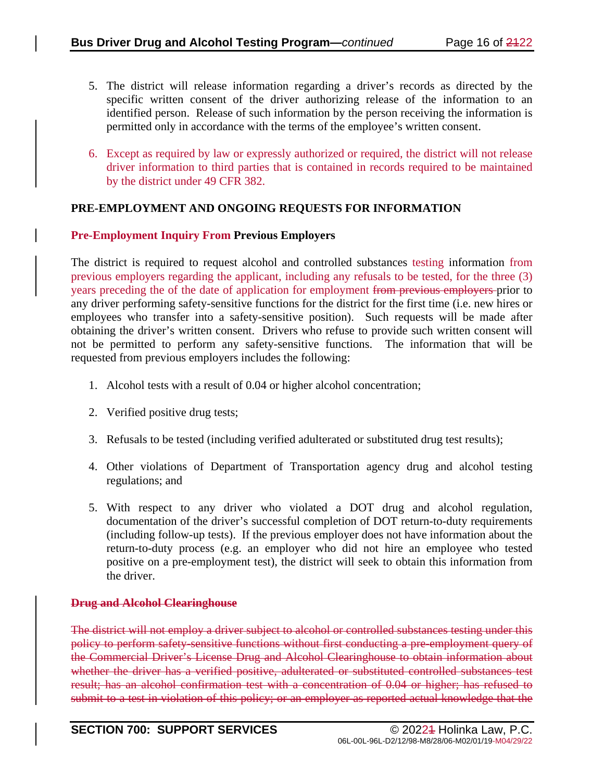- 5. The district will release information regarding a driver's records as directed by the specific written consent of the driver authorizing release of the information to an identified person. Release of such information by the person receiving the information is permitted only in accordance with the terms of the employee's written consent.
- 6. Except as required by law or expressly authorized or required, the district will not release driver information to third parties that is contained in records required to be maintained by the district under 49 CFR 382.

### **PRE-EMPLOYMENT AND ONGOING REQUESTS FOR INFORMATION**

### **Pre-Employment Inquiry From Previous Employers**

The district is required to request alcohol and controlled substances testing information from previous employers regarding the applicant, including any refusals to be tested, for the three (3) years preceding the of the date of application for employment from previous employers prior to any driver performing safety-sensitive functions for the district for the first time (i.e. new hires or employees who transfer into a safety-sensitive position). Such requests will be made after obtaining the driver's written consent. Drivers who refuse to provide such written consent will not be permitted to perform any safety-sensitive functions. The information that will be requested from previous employers includes the following:

- 1. Alcohol tests with a result of 0.04 or higher alcohol concentration;
- 2. Verified positive drug tests;
- 3. Refusals to be tested (including verified adulterated or substituted drug test results);
- 4. Other violations of Department of Transportation agency drug and alcohol testing regulations; and
- 5. With respect to any driver who violated a DOT drug and alcohol regulation, documentation of the driver's successful completion of DOT return-to-duty requirements (including follow-up tests). If the previous employer does not have information about the return-to-duty process (e.g. an employer who did not hire an employee who tested positive on a pre-employment test), the district will seek to obtain this information from the driver.

### **Drug and Alcohol Clearinghouse**

The district will not employ a driver subject to alcohol or controlled substances testing under this policy to perform safety-sensitive functions without first conducting a pre-employment query of the Commercial Driver's License Drug and Alcohol Clearinghouse to obtain information about whether the driver has a verified positive, adulterated or substituted controlled substances test result; has an alcohol confirmation test with a concentration of 0.04 or higher; has refused to submit to a test in violation of this policy; or an employer as reported actual knowledge that the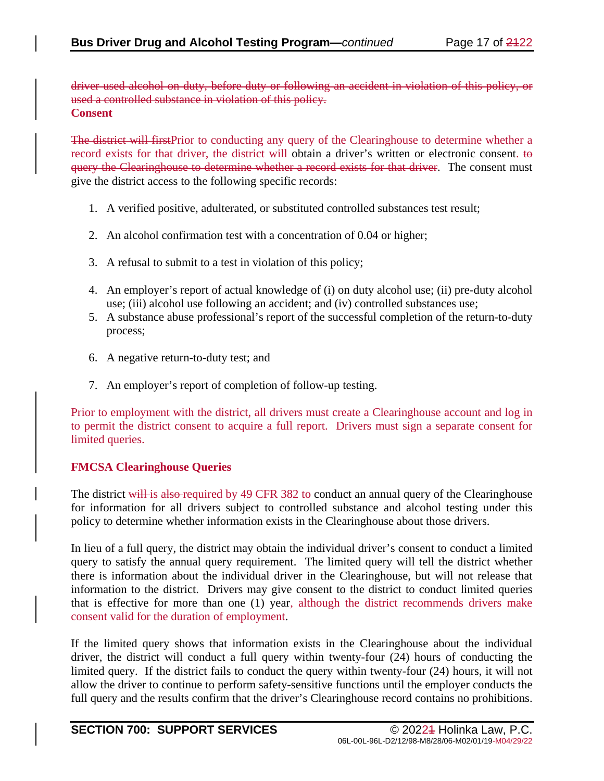driver used alcohol on duty, before duty or following an accident in violation of this policy, or used a controlled substance in violation of this policy. **Consent**

The district will first Prior to conducting any query of the Clearinghouse to determine whether a record exists for that driver, the district will obtain a driver's written or electronic consent. to query the Clearinghouse to determine whether a record exists for that driver. The consent must give the district access to the following specific records:

- 1. A verified positive, adulterated, or substituted controlled substances test result;
- 2. An alcohol confirmation test with a concentration of 0.04 or higher;
- 3. A refusal to submit to a test in violation of this policy;
- 4. An employer's report of actual knowledge of (i) on duty alcohol use; (ii) pre-duty alcohol use; (iii) alcohol use following an accident; and (iv) controlled substances use;
- 5. A substance abuse professional's report of the successful completion of the return-to-duty process;
- 6. A negative return-to-duty test; and
- 7. An employer's report of completion of follow-up testing.

Prior to employment with the district, all drivers must create a Clearinghouse account and log in to permit the district consent to acquire a full report. Drivers must sign a separate consent for limited queries.

### **FMCSA Clearinghouse Queries**

The district will is also-required by 49 CFR 382 to conduct an annual query of the Clearinghouse for information for all drivers subject to controlled substance and alcohol testing under this policy to determine whether information exists in the Clearinghouse about those drivers.

In lieu of a full query, the district may obtain the individual driver's consent to conduct a limited query to satisfy the annual query requirement. The limited query will tell the district whether there is information about the individual driver in the Clearinghouse, but will not release that information to the district. Drivers may give consent to the district to conduct limited queries that is effective for more than one (1) year, although the district recommends drivers make consent valid for the duration of employment.

If the limited query shows that information exists in the Clearinghouse about the individual driver, the district will conduct a full query within twenty-four (24) hours of conducting the limited query. If the district fails to conduct the query within twenty-four (24) hours, it will not allow the driver to continue to perform safety-sensitive functions until the employer conducts the full query and the results confirm that the driver's Clearinghouse record contains no prohibitions.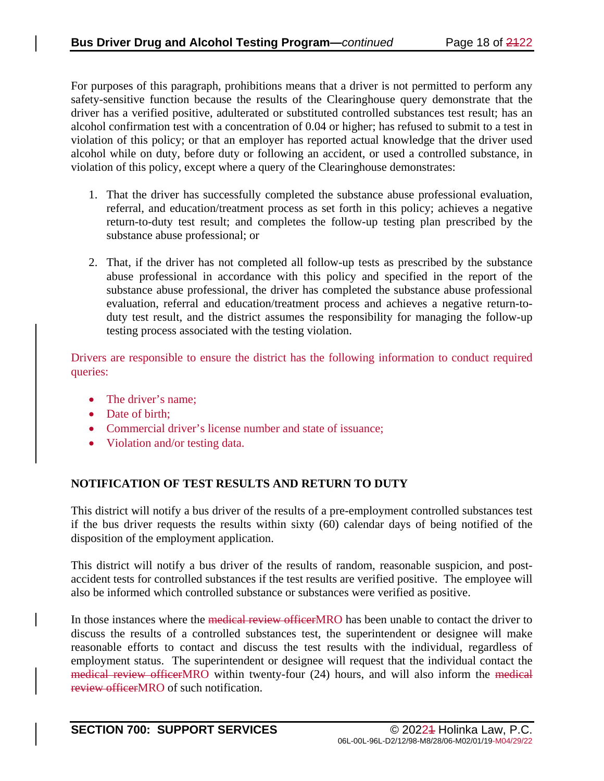For purposes of this paragraph, prohibitions means that a driver is not permitted to perform any safety-sensitive function because the results of the Clearinghouse query demonstrate that the driver has a verified positive, adulterated or substituted controlled substances test result; has an alcohol confirmation test with a concentration of 0.04 or higher; has refused to submit to a test in violation of this policy; or that an employer has reported actual knowledge that the driver used alcohol while on duty, before duty or following an accident, or used a controlled substance, in violation of this policy, except where a query of the Clearinghouse demonstrates:

- 1. That the driver has successfully completed the substance abuse professional evaluation, referral, and education/treatment process as set forth in this policy; achieves a negative return-to-duty test result; and completes the follow-up testing plan prescribed by the substance abuse professional; or
- 2. That, if the driver has not completed all follow-up tests as prescribed by the substance abuse professional in accordance with this policy and specified in the report of the substance abuse professional, the driver has completed the substance abuse professional evaluation, referral and education/treatment process and achieves a negative return-toduty test result, and the district assumes the responsibility for managing the follow-up testing process associated with the testing violation.

Drivers are responsible to ensure the district has the following information to conduct required queries:

- The driver's name;
- Date of birth:
- Commercial driver's license number and state of issuance;
- Violation and/or testing data.

### **NOTIFICATION OF TEST RESULTS AND RETURN TO DUTY**

This district will notify a bus driver of the results of a pre-employment controlled substances test if the bus driver requests the results within sixty (60) calendar days of being notified of the disposition of the employment application.

This district will notify a bus driver of the results of random, reasonable suspicion, and postaccident tests for controlled substances if the test results are verified positive. The employee will also be informed which controlled substance or substances were verified as positive.

In those instances where the <del>medical review officer</del>MRO has been unable to contact the driver to discuss the results of a controlled substances test, the superintendent or designee will make reasonable efforts to contact and discuss the test results with the individual, regardless of employment status. The superintendent or designee will request that the individual contact the medical review officerMRO within twenty-four (24) hours, and will also inform the medical review officerMRO of such notification.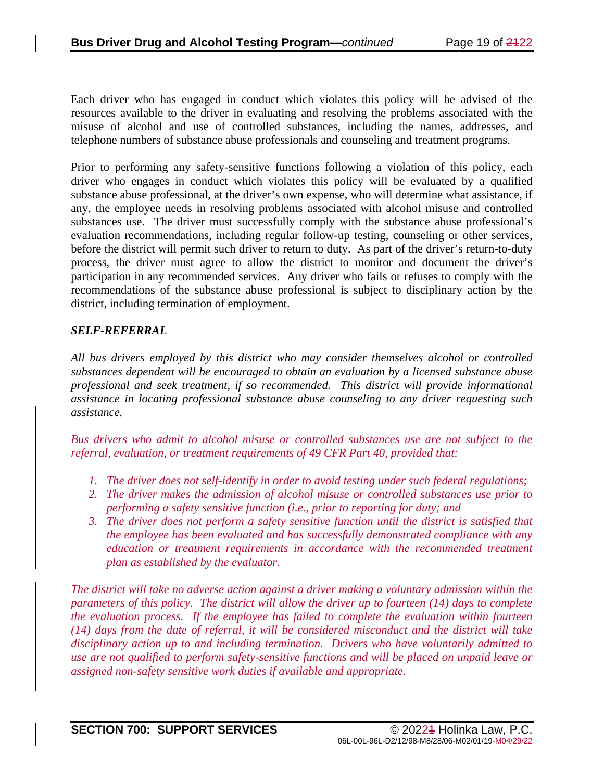Each driver who has engaged in conduct which violates this policy will be advised of the resources available to the driver in evaluating and resolving the problems associated with the misuse of alcohol and use of controlled substances, including the names, addresses, and telephone numbers of substance abuse professionals and counseling and treatment programs.

Prior to performing any safety-sensitive functions following a violation of this policy, each driver who engages in conduct which violates this policy will be evaluated by a qualified substance abuse professional, at the driver's own expense, who will determine what assistance, if any, the employee needs in resolving problems associated with alcohol misuse and controlled substances use. The driver must successfully comply with the substance abuse professional's evaluation recommendations, including regular follow-up testing, counseling or other services, before the district will permit such driver to return to duty. As part of the driver's return-to-duty process, the driver must agree to allow the district to monitor and document the driver's participation in any recommended services. Any driver who fails or refuses to comply with the recommendations of the substance abuse professional is subject to disciplinary action by the district, including termination of employment.

### *SELF-REFERRAL*

*All bus drivers employed by this district who may consider themselves alcohol or controlled substances dependent will be encouraged to obtain an evaluation by a licensed substance abuse professional and seek treatment, if so recommended. This district will provide informational assistance in locating professional substance abuse counseling to any driver requesting such assistance.*

*Bus drivers who admit to alcohol misuse or controlled substances use are not subject to the referral, evaluation, or treatment requirements of 49 CFR Part 40, provided that:*

- *1. The driver does not self-identify in order to avoid testing under such federal regulations;*
- *2. The driver makes the admission of alcohol misuse or controlled substances use prior to performing a safety sensitive function (i.e., prior to reporting for duty; and*
- *3. The driver does not perform a safety sensitive function until the district is satisfied that the employee has been evaluated and has successfully demonstrated compliance with any education or treatment requirements in accordance with the recommended treatment plan as established by the evaluator.*

*The district will take no adverse action against a driver making a voluntary admission within the parameters of this policy. The district will allow the driver up to fourteen (14) days to complete the evaluation process. If the employee has failed to complete the evaluation within fourteen (14) days from the date of referral, it will be considered misconduct and the district will take disciplinary action up to and including termination. Drivers who have voluntarily admitted to use are not qualified to perform safety-sensitive functions and will be placed on unpaid leave or assigned non-safety sensitive work duties if available and appropriate.*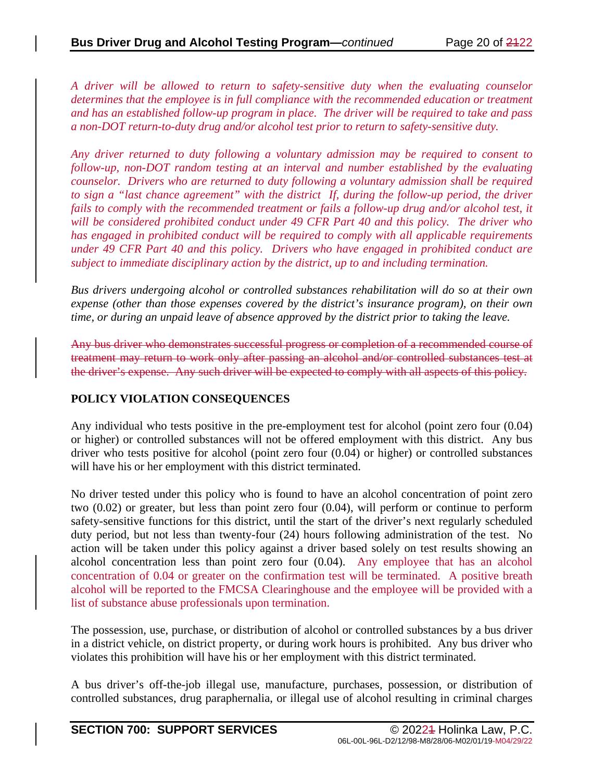*A driver will be allowed to return to safety-sensitive duty when the evaluating counselor determines that the employee is in full compliance with the recommended education or treatment and has an established follow-up program in place. The driver will be required to take and pass a non-DOT return-to-duty drug and/or alcohol test prior to return to safety-sensitive duty.* 

*Any driver returned to duty following a voluntary admission may be required to consent to follow-up, non-DOT random testing at an interval and number established by the evaluating counselor. Drivers who are returned to duty following a voluntary admission shall be required to sign a "last chance agreement" with the district If, during the follow-up period, the driver*  fails to comply with the recommended treatment or fails a follow-up drug and/or alcohol test, it *will be considered prohibited conduct under 49 CFR Part 40 and this policy. The driver who has engaged in prohibited conduct will be required to comply with all applicable requirements under 49 CFR Part 40 and this policy. Drivers who have engaged in prohibited conduct are subject to immediate disciplinary action by the district, up to and including termination.*

*Bus drivers undergoing alcohol or controlled substances rehabilitation will do so at their own expense (other than those expenses covered by the district's insurance program), on their own time, or during an unpaid leave of absence approved by the district prior to taking the leave.*

Any bus driver who demonstrates successful progress or completion of a recommended course of treatment may return to work only after passing an alcohol and/or controlled substances test at the driver's expense. Any such driver will be expected to comply with all aspects of this policy.

### **POLICY VIOLATION CONSEQUENCES**

Any individual who tests positive in the pre-employment test for alcohol (point zero four (0.04) or higher) or controlled substances will not be offered employment with this district. Any bus driver who tests positive for alcohol (point zero four (0.04) or higher) or controlled substances will have his or her employment with this district terminated.

No driver tested under this policy who is found to have an alcohol concentration of point zero two (0.02) or greater, but less than point zero four (0.04), will perform or continue to perform safety-sensitive functions for this district, until the start of the driver's next regularly scheduled duty period, but not less than twenty-four (24) hours following administration of the test. No action will be taken under this policy against a driver based solely on test results showing an alcohol concentration less than point zero four (0.04). Any employee that has an alcohol concentration of 0.04 or greater on the confirmation test will be terminated. A positive breath alcohol will be reported to the FMCSA Clearinghouse and the employee will be provided with a list of substance abuse professionals upon termination.

The possession, use, purchase, or distribution of alcohol or controlled substances by a bus driver in a district vehicle, on district property, or during work hours is prohibited. Any bus driver who violates this prohibition will have his or her employment with this district terminated.

A bus driver's off-the-job illegal use, manufacture, purchases, possession, or distribution of controlled substances, drug paraphernalia, or illegal use of alcohol resulting in criminal charges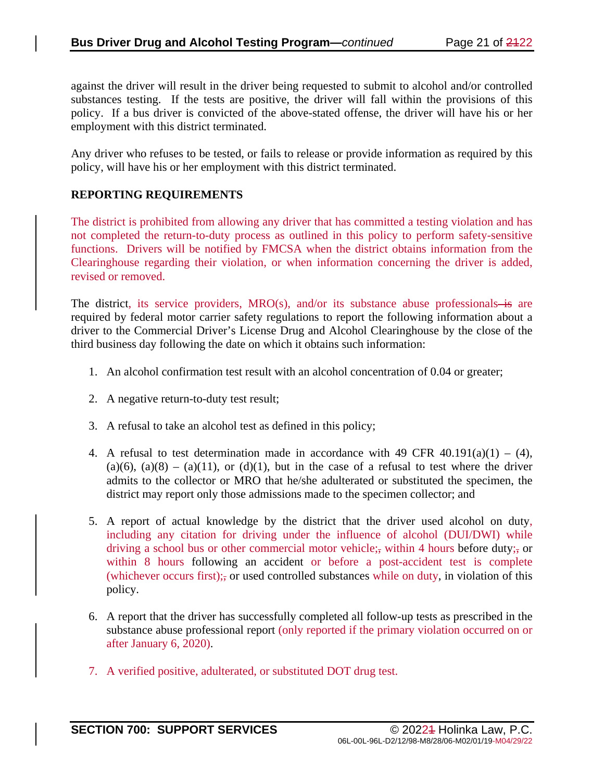against the driver will result in the driver being requested to submit to alcohol and/or controlled substances testing. If the tests are positive, the driver will fall within the provisions of this policy. If a bus driver is convicted of the above-stated offense, the driver will have his or her employment with this district terminated.

Any driver who refuses to be tested, or fails to release or provide information as required by this policy, will have his or her employment with this district terminated.

### **REPORTING REQUIREMENTS**

The district is prohibited from allowing any driver that has committed a testing violation and has not completed the return-to-duty process as outlined in this policy to perform safety-sensitive functions. Drivers will be notified by FMCSA when the district obtains information from the Clearinghouse regarding their violation, or when information concerning the driver is added, revised or removed.

The district, its service providers,  $MRO(s)$ , and/or its substance abuse professionals—is are required by federal motor carrier safety regulations to report the following information about a driver to the Commercial Driver's License Drug and Alcohol Clearinghouse by the close of the third business day following the date on which it obtains such information:

- 1. An alcohol confirmation test result with an alcohol concentration of 0.04 or greater;
- 2. A negative return-to-duty test result;
- 3. A refusal to take an alcohol test as defined in this policy;
- 4. A refusal to test determination made in accordance with 49 CFR 40.191(a)(1) (4),  $(a)(6)$ ,  $(a)(8) - (a)(11)$ , or  $(d)(1)$ , but in the case of a refusal to test where the driver admits to the collector or MRO that he/she adulterated or substituted the specimen, the district may report only those admissions made to the specimen collector; and
- 5. A report of actual knowledge by the district that the driver used alcohol on duty, including any citation for driving under the influence of alcohol (DUI/DWI) while driving a school bus or other commercial motor vehicle;, within 4 hours before duty;, or within 8 hours following an accident or before a post-accident test is complete (whichever occurs first); or used controlled substances while on duty, in violation of this policy.
- 6. A report that the driver has successfully completed all follow-up tests as prescribed in the substance abuse professional report (only reported if the primary violation occurred on or after January 6, 2020).
- 7. A verified positive, adulterated, or substituted DOT drug test.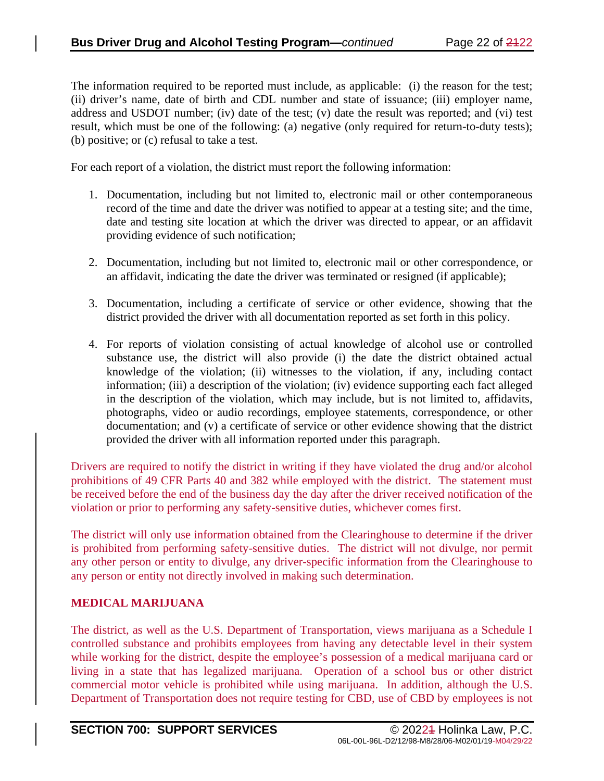The information required to be reported must include, as applicable: (i) the reason for the test; (ii) driver's name, date of birth and CDL number and state of issuance; (iii) employer name, address and USDOT number; (iv) date of the test; (v) date the result was reported; and (vi) test result, which must be one of the following: (a) negative (only required for return-to-duty tests); (b) positive; or (c) refusal to take a test.

For each report of a violation, the district must report the following information:

- 1. Documentation, including but not limited to, electronic mail or other contemporaneous record of the time and date the driver was notified to appear at a testing site; and the time, date and testing site location at which the driver was directed to appear, or an affidavit providing evidence of such notification;
- 2. Documentation, including but not limited to, electronic mail or other correspondence, or an affidavit, indicating the date the driver was terminated or resigned (if applicable);
- 3. Documentation, including a certificate of service or other evidence, showing that the district provided the driver with all documentation reported as set forth in this policy.
- 4. For reports of violation consisting of actual knowledge of alcohol use or controlled substance use, the district will also provide (i) the date the district obtained actual knowledge of the violation; (ii) witnesses to the violation, if any, including contact information; (iii) a description of the violation; (iv) evidence supporting each fact alleged in the description of the violation, which may include, but is not limited to, affidavits, photographs, video or audio recordings, employee statements, correspondence, or other documentation; and (v) a certificate of service or other evidence showing that the district provided the driver with all information reported under this paragraph.

Drivers are required to notify the district in writing if they have violated the drug and/or alcohol prohibitions of 49 CFR Parts 40 and 382 while employed with the district. The statement must be received before the end of the business day the day after the driver received notification of the violation or prior to performing any safety-sensitive duties, whichever comes first.

The district will only use information obtained from the Clearinghouse to determine if the driver is prohibited from performing safety-sensitive duties. The district will not divulge, nor permit any other person or entity to divulge, any driver-specific information from the Clearinghouse to any person or entity not directly involved in making such determination.

### **MEDICAL MARIJUANA**

The district, as well as the U.S. Department of Transportation, views marijuana as a Schedule I controlled substance and prohibits employees from having any detectable level in their system while working for the district, despite the employee's possession of a medical marijuana card or living in a state that has legalized marijuana. Operation of a school bus or other district commercial motor vehicle is prohibited while using marijuana. In addition, although the U.S. Department of Transportation does not require testing for CBD, use of CBD by employees is not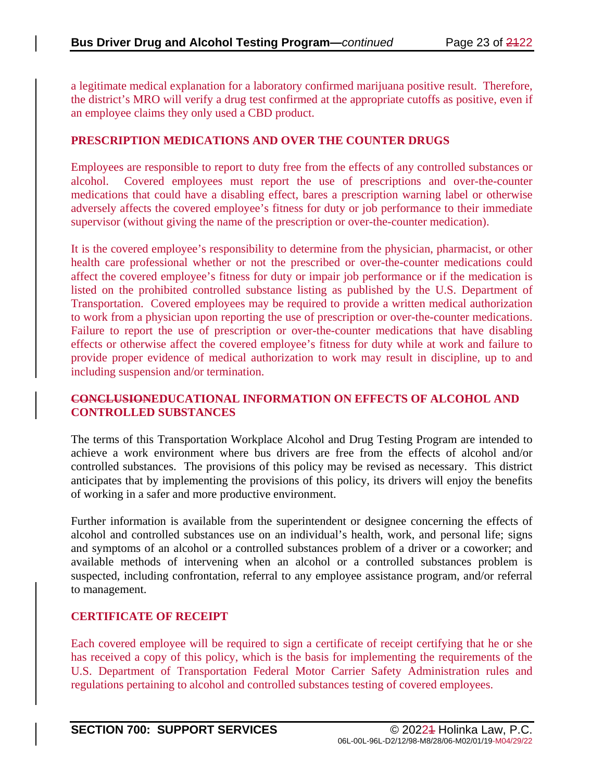a legitimate medical explanation for a laboratory confirmed marijuana positive result. Therefore, the district's MRO will verify a drug test confirmed at the appropriate cutoffs as positive, even if an employee claims they only used a CBD product.

#### **PRESCRIPTION MEDICATIONS AND OVER THE COUNTER DRUGS**

Employees are responsible to report to duty free from the effects of any controlled substances or alcohol. Covered employees must report the use of prescriptions and over-the-counter medications that could have a disabling effect, bares a prescription warning label or otherwise adversely affects the covered employee's fitness for duty or job performance to their immediate supervisor (without giving the name of the prescription or over-the-counter medication).

It is the covered employee's responsibility to determine from the physician, pharmacist, or other health care professional whether or not the prescribed or over-the-counter medications could affect the covered employee's fitness for duty or impair job performance or if the medication is listed on the prohibited controlled substance listing as published by the U.S. Department of Transportation. Covered employees may be required to provide a written medical authorization to work from a physician upon reporting the use of prescription or over-the-counter medications. Failure to report the use of prescription or over-the-counter medications that have disabling effects or otherwise affect the covered employee's fitness for duty while at work and failure to provide proper evidence of medical authorization to work may result in discipline, up to and including suspension and/or termination.

### **CONCLUSIONEDUCATIONAL INFORMATION ON EFFECTS OF ALCOHOL AND CONTROLLED SUBSTANCES**

The terms of this Transportation Workplace Alcohol and Drug Testing Program are intended to achieve a work environment where bus drivers are free from the effects of alcohol and/or controlled substances. The provisions of this policy may be revised as necessary. This district anticipates that by implementing the provisions of this policy, its drivers will enjoy the benefits of working in a safer and more productive environment.

Further information is available from the superintendent or designee concerning the effects of alcohol and controlled substances use on an individual's health, work, and personal life; signs and symptoms of an alcohol or a controlled substances problem of a driver or a coworker; and available methods of intervening when an alcohol or a controlled substances problem is suspected, including confrontation, referral to any employee assistance program, and/or referral to management.

### **CERTIFICATE OF RECEIPT**

Each covered employee will be required to sign a certificate of receipt certifying that he or she has received a copy of this policy, which is the basis for implementing the requirements of the U.S. Department of Transportation Federal Motor Carrier Safety Administration rules and regulations pertaining to alcohol and controlled substances testing of covered employees.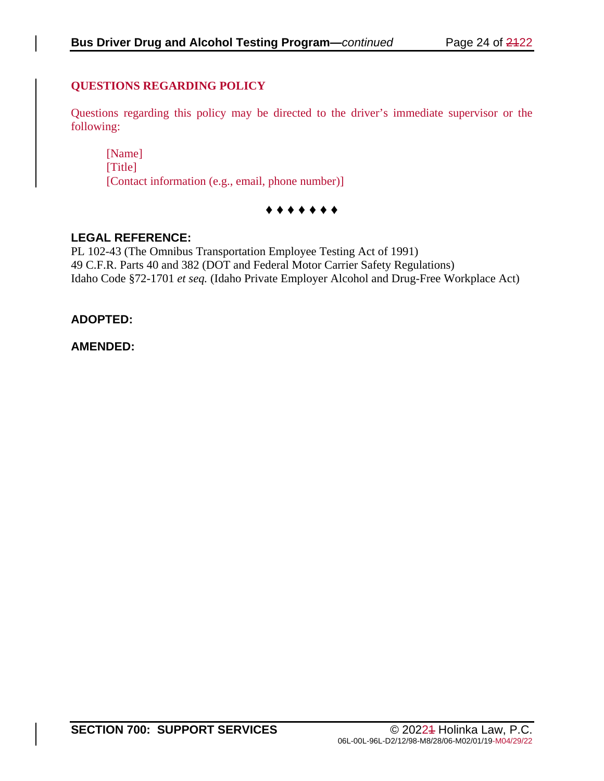### **QUESTIONS REGARDING POLICY**

Questions regarding this policy may be directed to the driver's immediate supervisor or the following:

[Name] [Title] [Contact information (e.g., email, phone number)]

### **♦ ♦ ♦ ♦ ♦ ♦ ♦**

### **LEGAL REFERENCE:**

PL 102-43 (The Omnibus Transportation Employee Testing Act of 1991) 49 C.F.R. Parts 40 and 382 (DOT and Federal Motor Carrier Safety Regulations) Idaho Code §72-1701 *et seq.* (Idaho Private Employer Alcohol and Drug-Free Workplace Act)

### **ADOPTED:**

### **AMENDED:**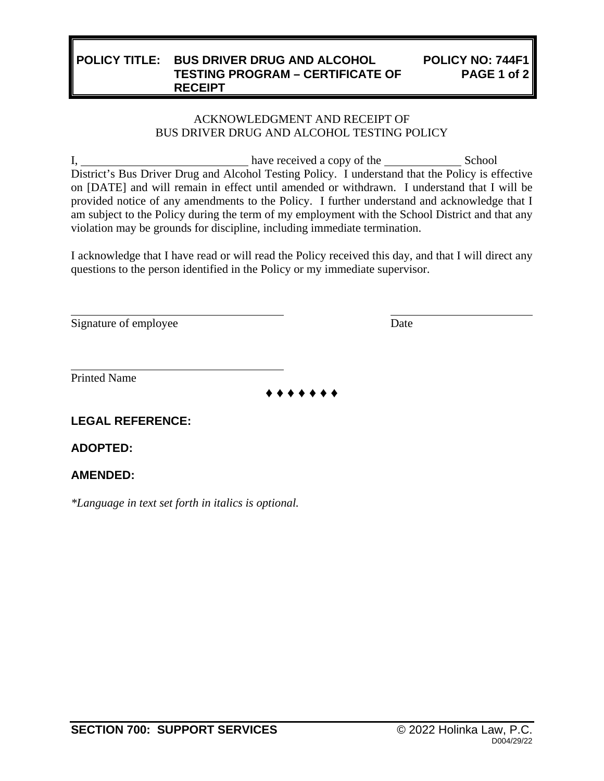#### **POLICY TITLE: BUS DRIVER DRUG AND ALCOHOL TESTING PROGRAM – CERTIFICATE OF RECEIPT POLICY NO: 744F1 PAGE 1 of 2**

### ACKNOWLEDGMENT AND RECEIPT OF BUS DRIVER DRUG AND ALCOHOL TESTING POLICY

I, have received a copy of the School District's Bus Driver Drug and Alcohol Testing Policy. I understand that the Policy is effective on [DATE] and will remain in effect until amended or withdrawn. I understand that I will be provided notice of any amendments to the Policy. I further understand and acknowledge that I am subject to the Policy during the term of my employment with the School District and that any violation may be grounds for discipline, including immediate termination.

I acknowledge that I have read or will read the Policy received this day, and that I will direct any questions to the person identified in the Policy or my immediate supervisor.

Signature of employee Date

Printed Name

**♦ ♦ ♦ ♦ ♦ ♦ ♦**

# **LEGAL REFERENCE:**

**ADOPTED:**

### **AMENDED:**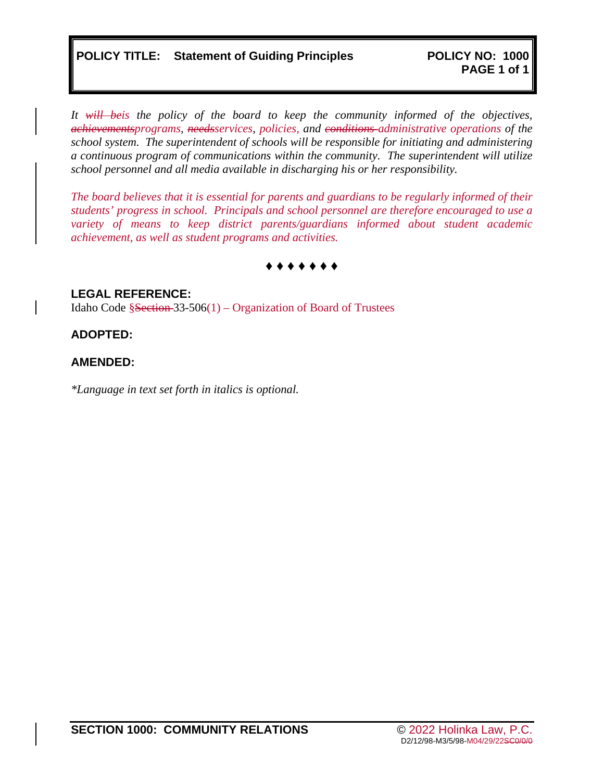*It will beis the policy of the board to keep the community informed of the objectives, achievementsprograms, needsservices, policies, and conditions administrative operations of the school system. The superintendent of schools will be responsible for initiating and administering a continuous program of communications within the community. The superintendent will utilize school personnel and all media available in discharging his or her responsibility.* 

*The board believes that it is essential for parents and guardians to be regularly informed of their students' progress in school. Principals and school personnel are therefore encouraged to use a variety of means to keep district parents/guardians informed about student academic achievement, as well as student programs and activities.*

### **♦ ♦ ♦ ♦ ♦ ♦ ♦**

**LEGAL REFERENCE:** Idaho Code  $\S$ Section 33-506(1) – Organization of Board of Trustees

### **ADOPTED:**

### **AMENDED:**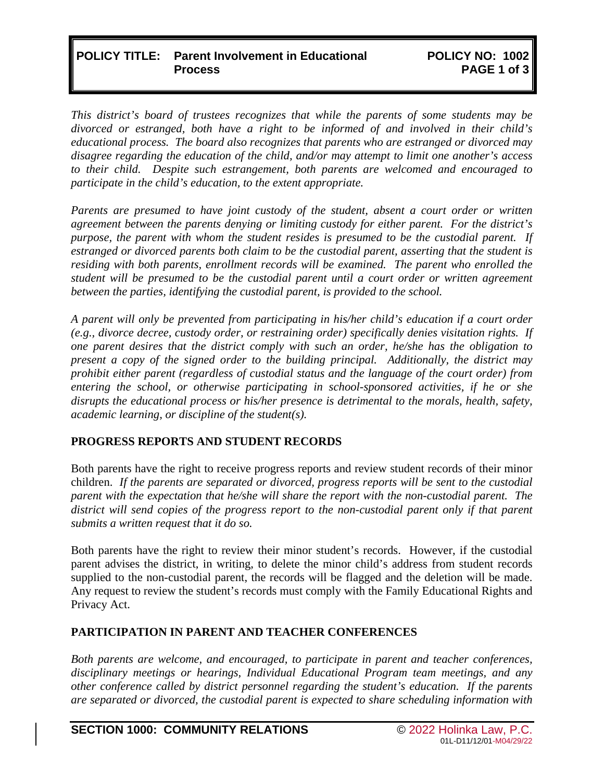### **POLICY TITLE: Parent Involvement in Educational Process**

*This district's board of trustees recognizes that while the parents of some students may be divorced or estranged, both have a right to be informed of and involved in their child's educational process. The board also recognizes that parents who are estranged or divorced may disagree regarding the education of the child, and/or may attempt to limit one another's access to their child. Despite such estrangement, both parents are welcomed and encouraged to participate in the child's education, to the extent appropriate.* 

*Parents are presumed to have joint custody of the student, absent a court order or written agreement between the parents denying or limiting custody for either parent. For the district's purpose, the parent with whom the student resides is presumed to be the custodial parent. If estranged or divorced parents both claim to be the custodial parent, asserting that the student is residing with both parents, enrollment records will be examined. The parent who enrolled the student will be presumed to be the custodial parent until a court order or written agreement between the parties, identifying the custodial parent, is provided to the school.* 

*A parent will only be prevented from participating in his/her child's education if a court order (e.g., divorce decree, custody order, or restraining order) specifically denies visitation rights. If one parent desires that the district comply with such an order, he/she has the obligation to present a copy of the signed order to the building principal. Additionally, the district may prohibit either parent (regardless of custodial status and the language of the court order) from entering the school, or otherwise participating in school-sponsored activities, if he or she disrupts the educational process or his/her presence is detrimental to the morals, health, safety, academic learning, or discipline of the student(s).* 

### **PROGRESS REPORTS AND STUDENT RECORDS**

Both parents have the right to receive progress reports and review student records of their minor children. *If the parents are separated or divorced, progress reports will be sent to the custodial parent with the expectation that he/she will share the report with the non-custodial parent. The*  district will send copies of the progress report to the non-custodial parent only if that parent *submits a written request that it do so.* 

Both parents have the right to review their minor student's records. However, if the custodial parent advises the district, in writing, to delete the minor child's address from student records supplied to the non-custodial parent, the records will be flagged and the deletion will be made. Any request to review the student's records must comply with the Family Educational Rights and Privacy Act.

### **PARTICIPATION IN PARENT AND TEACHER CONFERENCES**

*Both parents are welcome, and encouraged, to participate in parent and teacher conferences, disciplinary meetings or hearings, Individual Educational Program team meetings, and any other conference called by district personnel regarding the student's education. If the parents are separated or divorced, the custodial parent is expected to share scheduling information with*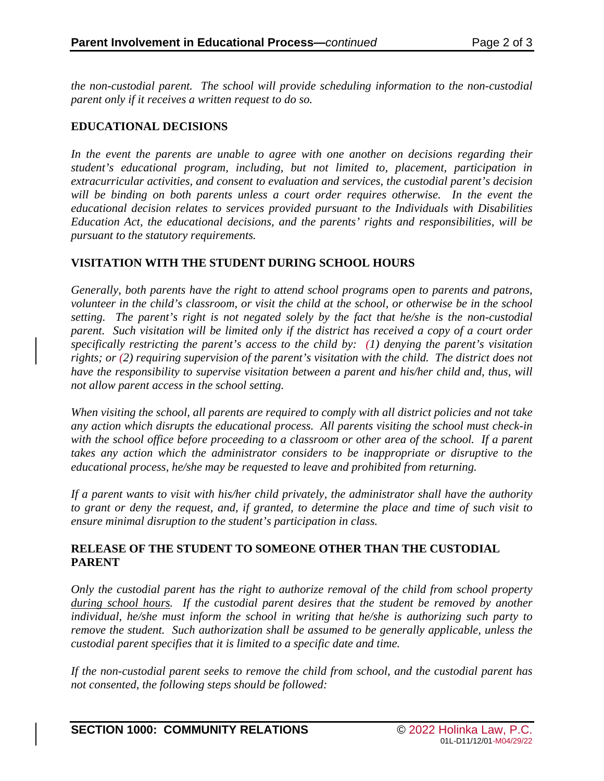*the non-custodial parent. The school will provide scheduling information to the non-custodial parent only if it receives a written request to do so.* 

### **EDUCATIONAL DECISIONS**

*In the event the parents are unable to agree with one another on decisions regarding their student's educational program, including, but not limited to, placement, participation in extracurricular activities, and consent to evaluation and services, the custodial parent's decision will be binding on both parents unless a court order requires otherwise. In the event the educational decision relates to services provided pursuant to the Individuals with Disabilities Education Act, the educational decisions, and the parents' rights and responsibilities, will be pursuant to the statutory requirements.*

### **VISITATION WITH THE STUDENT DURING SCHOOL HOURS**

*Generally, both parents have the right to attend school programs open to parents and patrons, volunteer in the child's classroom, or visit the child at the school, or otherwise be in the school setting. The parent's right is not negated solely by the fact that he/she is the non-custodial parent. Such visitation will be limited only if the district has received a copy of a court order specifically restricting the parent's access to the child by: (1) denying the parent's visitation rights; or (2) requiring supervision of the parent's visitation with the child. The district does not have the responsibility to supervise visitation between a parent and his/her child and, thus, will not allow parent access in the school setting.* 

*When visiting the school, all parents are required to comply with all district policies and not take any action which disrupts the educational process. All parents visiting the school must check-in with the school office before proceeding to a classroom or other area of the school. If a parent takes any action which the administrator considers to be inappropriate or disruptive to the educational process, he/she may be requested to leave and prohibited from returning.* 

*If a parent wants to visit with his/her child privately, the administrator shall have the authority to grant or deny the request, and, if granted, to determine the place and time of such visit to ensure minimal disruption to the student's participation in class.*

### **RELEASE OF THE STUDENT TO SOMEONE OTHER THAN THE CUSTODIAL PARENT**

*Only the custodial parent has the right to authorize removal of the child from school property during school hours. If the custodial parent desires that the student be removed by another individual, he/she must inform the school in writing that he/she is authorizing such party to remove the student. Such authorization shall be assumed to be generally applicable, unless the custodial parent specifies that it is limited to a specific date and time.* 

*If the non-custodial parent seeks to remove the child from school, and the custodial parent has not consented, the following steps should be followed:*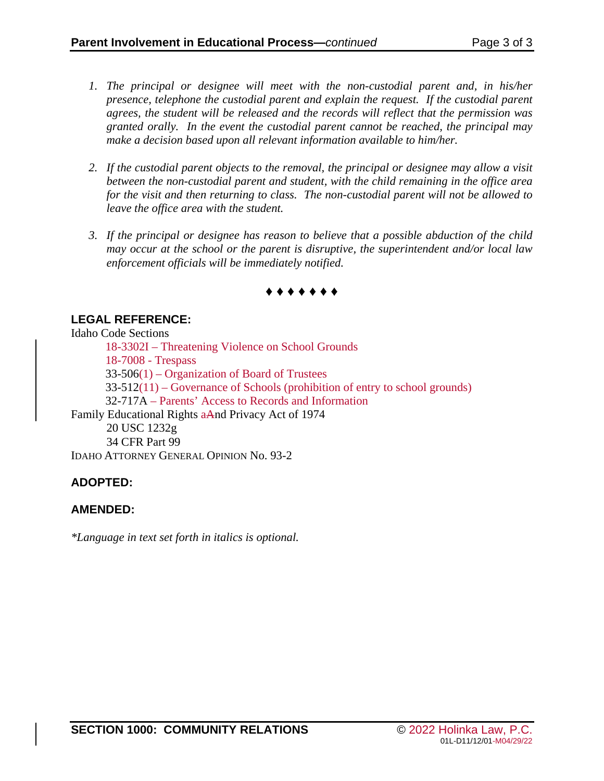- *1. The principal or designee will meet with the non-custodial parent and, in his/her presence, telephone the custodial parent and explain the request. If the custodial parent agrees, the student will be released and the records will reflect that the permission was granted orally. In the event the custodial parent cannot be reached, the principal may make a decision based upon all relevant information available to him/her.*
- *2. If the custodial parent objects to the removal, the principal or designee may allow a visit between the non-custodial parent and student, with the child remaining in the office area for the visit and then returning to class. The non-custodial parent will not be allowed to leave the office area with the student.*
- *3. If the principal or designee has reason to believe that a possible abduction of the child may occur at the school or the parent is disruptive, the superintendent and/or local law enforcement officials will be immediately notified.*



# **LEGAL REFERENCE:**

Idaho Code Sections 18-3302I – Threatening Violence on School Grounds 18-7008 - Trespass 33-506(1) – Organization of Board of Trustees 33-512(11) – Governance of Schools (prohibition of entry to school grounds) 32-717A – Parents' Access to Records and Information Family Educational Rights aAnd Privacy Act of 1974 20 USC 1232g 34 CFR Part 99 IDAHO ATTORNEY GENERAL OPINION No. 93-2

# **ADOPTED:**

### **AMENDED:**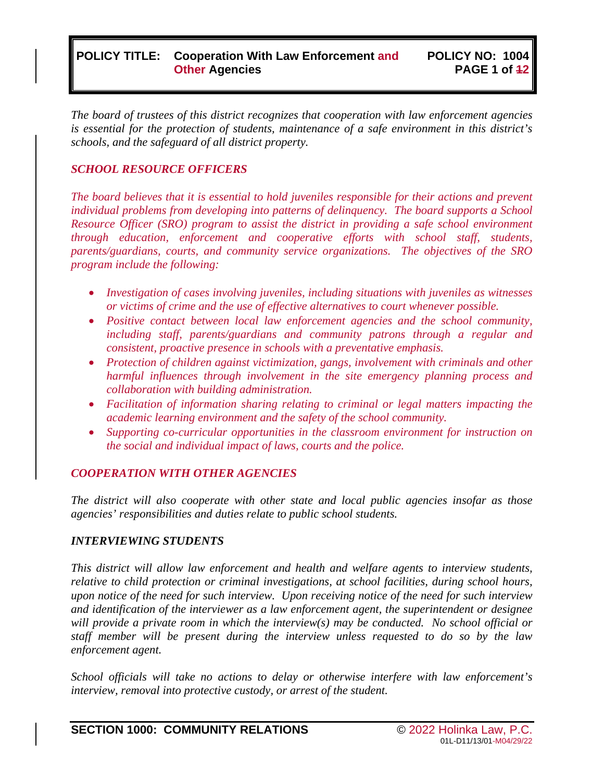### **POLICY TITLE: Cooperation With Law Enforcement and Other Agencies**

*The board of trustees of this district recognizes that cooperation with law enforcement agencies is essential for the protection of students, maintenance of a safe environment in this district's schools, and the safeguard of all district property.* 

### *SCHOOL RESOURCE OFFICERS*

*The board believes that it is essential to hold juveniles responsible for their actions and prevent individual problems from developing into patterns of delinquency. The board supports a School Resource Officer (SRO) program to assist the district in providing a safe school environment through education, enforcement and cooperative efforts with school staff, students, parents/guardians, courts, and community service organizations. The objectives of the SRO program include the following:*

- *Investigation of cases involving juveniles, including situations with juveniles as witnesses or victims of crime and the use of effective alternatives to court whenever possible.*
- *Positive contact between local law enforcement agencies and the school community, including staff, parents/guardians and community patrons through a regular and consistent, proactive presence in schools with a preventative emphasis.*
- *Protection of children against victimization, gangs, involvement with criminals and other harmful influences through involvement in the site emergency planning process and collaboration with building administration.*
- *Facilitation of information sharing relating to criminal or legal matters impacting the academic learning environment and the safety of the school community.*
- *Supporting co-curricular opportunities in the classroom environment for instruction on the social and individual impact of laws, courts and the police.*

#### *COOPERATION WITH OTHER AGENCIES*

*The district will also cooperate with other state and local public agencies insofar as those agencies' responsibilities and duties relate to public school students.*

#### *INTERVIEWING STUDENTS*

*This district will allow law enforcement and health and welfare agents to interview students, relative to child protection or criminal investigations, at school facilities, during school hours, upon notice of the need for such interview. Upon receiving notice of the need for such interview and identification of the interviewer as a law enforcement agent, the superintendent or designee will provide a private room in which the interview(s) may be conducted. No school official or staff member will be present during the interview unless requested to do so by the law enforcement agent.* 

*School officials will take no actions to delay or otherwise interfere with law enforcement's interview, removal into protective custody, or arrest of the student.*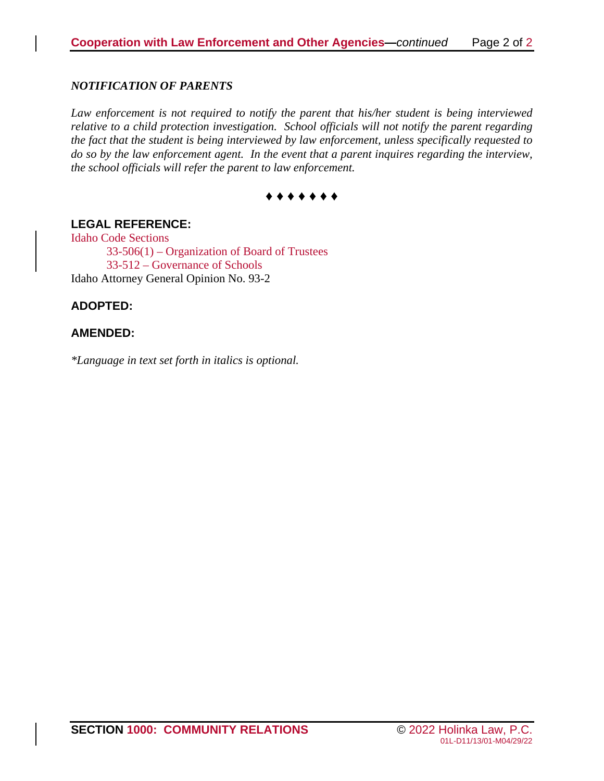#### *NOTIFICATION OF PARENTS*

Law enforcement is not required to notify the parent that his/her student is being interviewed *relative to a child protection investigation. School officials will not notify the parent regarding the fact that the student is being interviewed by law enforcement, unless specifically requested to do so by the law enforcement agent. In the event that a parent inquires regarding the interview, the school officials will refer the parent to law enforcement.*



### **LEGAL REFERENCE:**

Idaho Code Sections 33-506(1) – Organization of Board of Trustees 33-512 – Governance of Schools Idaho Attorney General Opinion No. 93-2

### **ADOPTED:**

### **AMENDED:**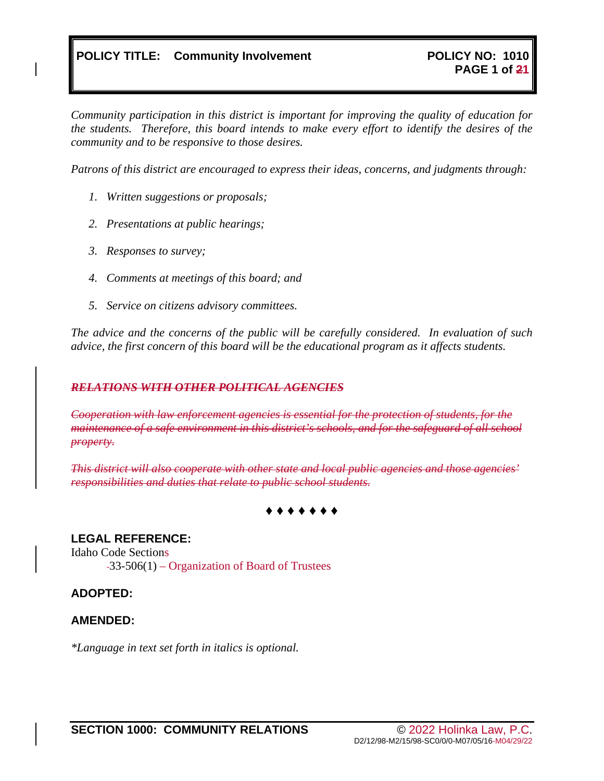*Community participation in this district is important for improving the quality of education for the students. Therefore, this board intends to make every effort to identify the desires of the community and to be responsive to those desires.*

*Patrons of this district are encouraged to express their ideas, concerns, and judgments through:*

- *1. Written suggestions or proposals;*
- *2. Presentations at public hearings;*
- *3. Responses to survey;*
- *4. Comments at meetings of this board; and*
- *5. Service on citizens advisory committees.*

*The advice and the concerns of the public will be carefully considered. In evaluation of such advice, the first concern of this board will be the educational program as it affects students.*

#### *RELATIONS WITH OTHER POLITICAL AGENCIES*

*Cooperation with law enforcement agencies is essential for the protection of students, for the maintenance of a safe environment in this district's schools, and for the safeguard of all school property.*

*This district will also cooperate with other state and local public agencies and those agencies' responsibilities and duties that relate to public school students.*

### **♦ ♦ ♦ ♦ ♦ ♦ ♦**

### **LEGAL REFERENCE:**

Idaho Code Sections

33-506(1) – Organization of Board of Trustees

### **ADOPTED:**

### **AMENDED:**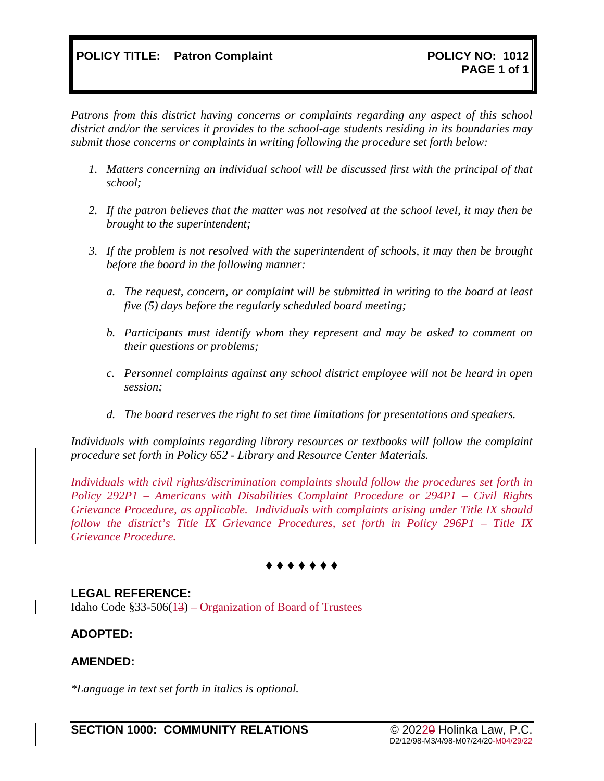*Patrons from this district having concerns or complaints regarding any aspect of this school district and/or the services it provides to the school-age students residing in its boundaries may submit those concerns or complaints in writing following the procedure set forth below:* 

- *1. Matters concerning an individual school will be discussed first with the principal of that school;*
- *2. If the patron believes that the matter was not resolved at the school level, it may then be brought to the superintendent;*
- *3. If the problem is not resolved with the superintendent of schools, it may then be brought before the board in the following manner:*
	- *a. The request, concern, or complaint will be submitted in writing to the board at least five (5) days before the regularly scheduled board meeting;*
	- *b. Participants must identify whom they represent and may be asked to comment on their questions or problems;*
	- *c. Personnel complaints against any school district employee will not be heard in open session;*
	- *d. The board reserves the right to set time limitations for presentations and speakers.*

*Individuals with complaints regarding library resources or textbooks will follow the complaint procedure set forth in Policy 652 - Library and Resource Center Materials.* 

*Individuals with civil rights/discrimination complaints should follow the procedures set forth in Policy 292P1 – Americans with Disabilities Complaint Procedure or 294P1 – Civil Rights Grievance Procedure, as applicable. Individuals with complaints arising under Title IX should follow the district's Title IX Grievance Procedures, set forth in Policy 296P1 – Title IX Grievance Procedure.*

# **♦ ♦ ♦ ♦ ♦ ♦ ♦**

### **LEGAL REFERENCE:**

Idaho Code §33-506(13) – Organization of Board of Trustees

### **ADOPTED:**

#### **AMENDED:**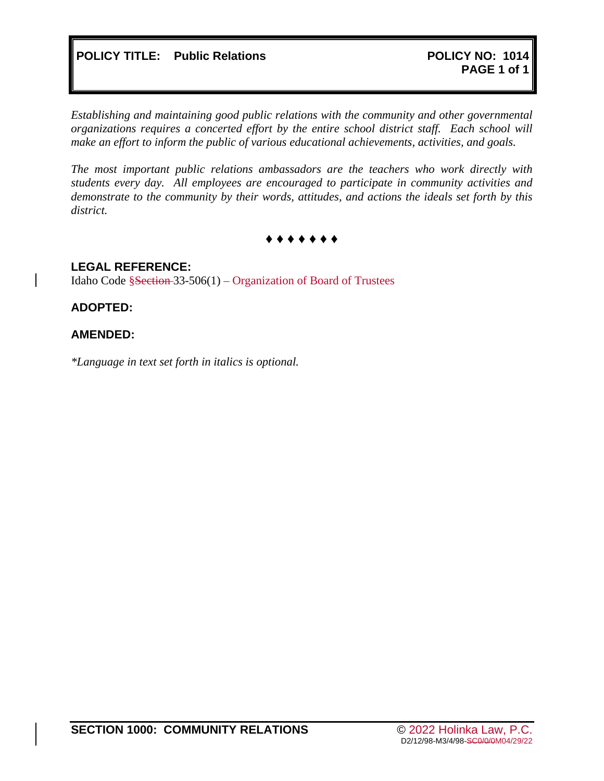*Establishing and maintaining good public relations with the community and other governmental organizations requires a concerted effort by the entire school district staff. Each school will make an effort to inform the public of various educational achievements, activities, and goals.* 

*The most important public relations ambassadors are the teachers who work directly with students every day. All employees are encouraged to participate in community activities and demonstrate to the community by their words, attitudes, and actions the ideals set forth by this district.*

**♦ ♦ ♦ ♦ ♦ ♦ ♦**

### **LEGAL REFERENCE:**

Idaho Code §Section 33-506(1) – Organization of Board of Trustees

### **ADOPTED:**

#### **AMENDED:**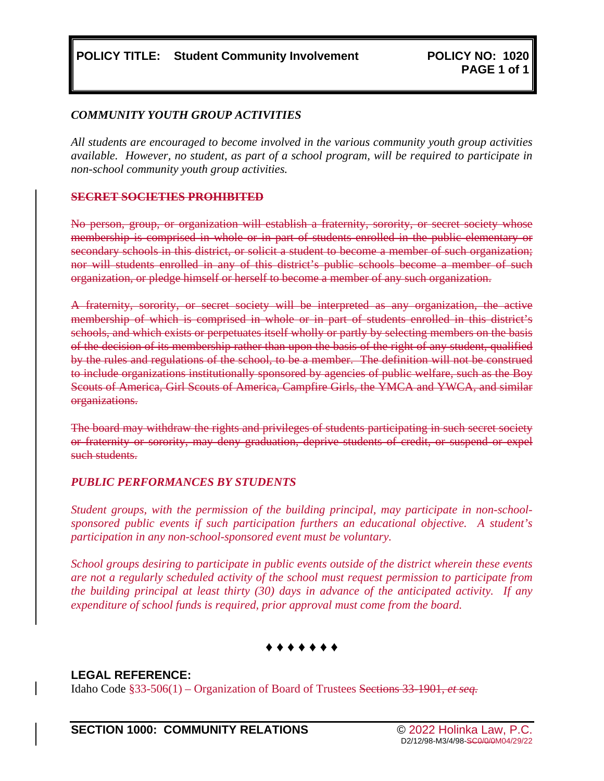#### *COMMUNITY YOUTH GROUP ACTIVITIES*

*All students are encouraged to become involved in the various community youth group activities available. However, no student, as part of a school program, will be required to participate in non-school community youth group activities.* 

#### **SECRET SOCIETIES PROHIBITED**

No person, group, or organization will establish a fraternity, sorority, or secret society whose membership is comprised in whole or in part of students enrolled in the public elementary or secondary schools in this district, or solicit a student to become a member of such organization; nor will students enrolled in any of this district's public schools become a member of such organization, or pledge himself or herself to become a member of any such organization.

A fraternity, sorority, or secret society will be interpreted as any organization, the active membership of which is comprised in whole or in part of students enrolled in this district's schools, and which exists or perpetuates itself wholly or partly by selecting members on the basis of the decision of its membership rather than upon the basis of the right of any student, qualified by the rules and regulations of the school, to be a member. The definition will not be construed to include organizations institutionally sponsored by agencies of public welfare, such as the Boy Scouts of America, Girl Scouts of America, Campfire Girls, the YMCA and YWCA, and similar organizations.

The board may withdraw the rights and privileges of students participating in such secret society or fraternity or sorority, may deny graduation, deprive students of credit, or suspend or expel such students.

#### *PUBLIC PERFORMANCES BY STUDENTS*

*Student groups, with the permission of the building principal, may participate in non-schoolsponsored public events if such participation furthers an educational objective. A student's participation in any non-school-sponsored event must be voluntary.* 

*School groups desiring to participate in public events outside of the district wherein these events are not a regularly scheduled activity of the school must request permission to participate from the building principal at least thirty (30) days in advance of the anticipated activity. If any expenditure of school funds is required, prior approval must come from the board.*

### **♦ ♦ ♦ ♦ ♦ ♦ ♦**

### **LEGAL REFERENCE:**

Idaho Code §33-506(1) – Organization of Board of Trustees Sections 33-1901, *et seq.*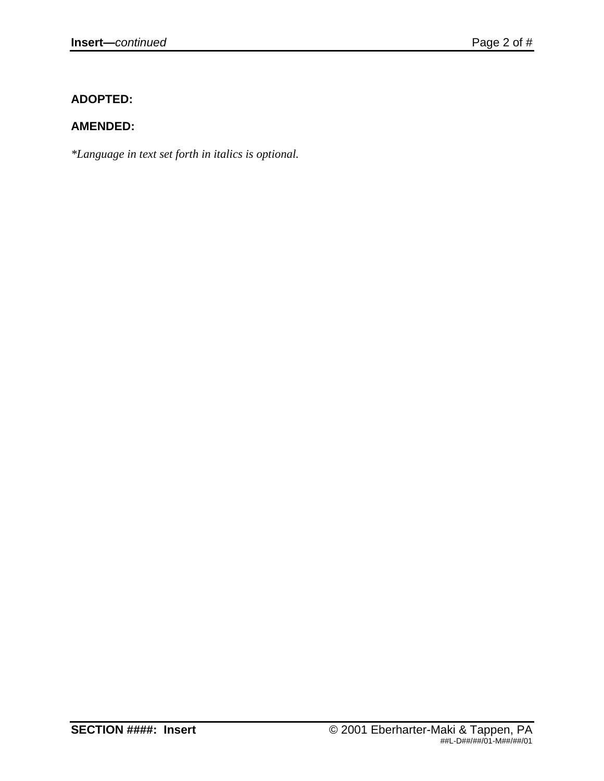# **ADOPTED:**

# **AMENDED:**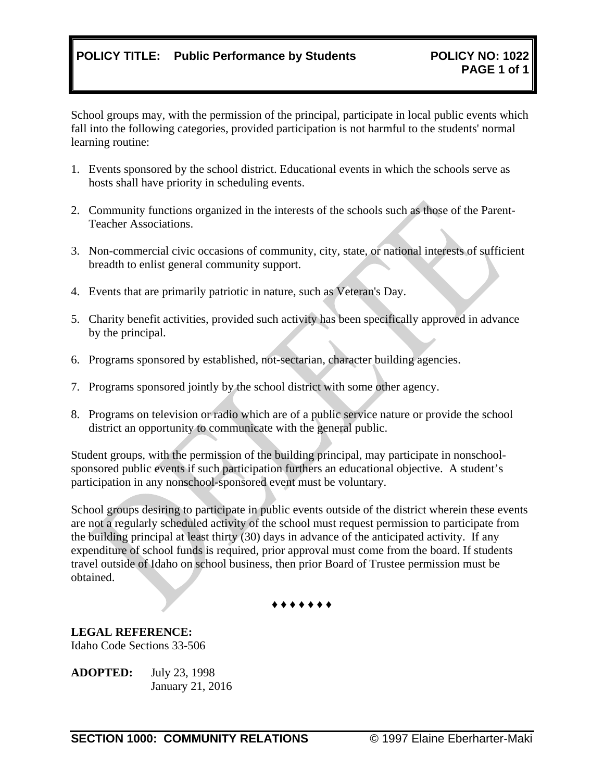# **POLICY TITLE: Public Performance by Students POLICY NO: 1022**

School groups may, with the permission of the principal, participate in local public events which fall into the following categories, provided participation is not harmful to the students' normal learning routine:

- 1. Events sponsored by the school district. Educational events in which the schools serve as hosts shall have priority in scheduling events.
- 2. Community functions organized in the interests of the schools such as those of the Parent-Teacher Associations.
- 3. Non-commercial civic occasions of community, city, state, or national interests of sufficient breadth to enlist general community support.
- 4. Events that are primarily patriotic in nature, such as Veteran's Day.
- 5. Charity benefit activities, provided such activity has been specifically approved in advance by the principal.
- 6. Programs sponsored by established, not-sectarian, character building agencies.
- 7. Programs sponsored jointly by the school district with some other agency.
- 8. Programs on television or radio which are of a public service nature or provide the school district an opportunity to communicate with the general public.

Student groups, with the permission of the building principal, may participate in nonschoolsponsored public events if such participation furthers an educational objective. A student's participation in any nonschool-sponsored event must be voluntary.

School groups desiring to participate in public events outside of the district wherein these events are not a regularly scheduled activity of the school must request permission to participate from the building principal at least thirty (30) days in advance of the anticipated activity. If any expenditure of school funds is required, prior approval must come from the board. If students travel outside of Idaho on school business, then prior Board of Trustee permission must be obtained.



**LEGAL REFERENCE:** Idaho Code Sections 33-506

**ADOPTED:** July 23, 1998 January 21, 2016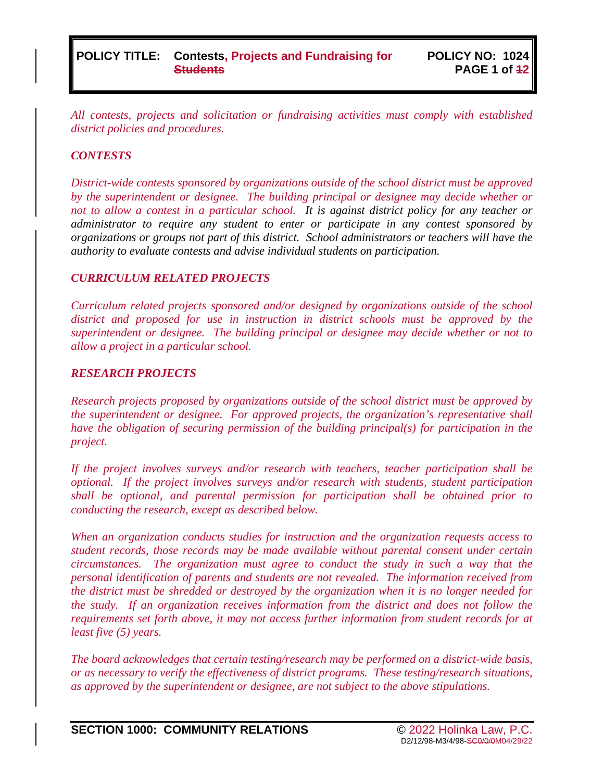*All contests, projects and solicitation or fundraising activities must comply with established district policies and procedures.*

#### *CONTESTS*

*District-wide contests sponsored by organizations outside of the school district must be approved by the superintendent or designee. The building principal or designee may decide whether or not to allow a contest in a particular school. It is against district policy for any teacher or administrator to require any student to enter or participate in any contest sponsored by organizations or groups not part of this district. School administrators or teachers will have the authority to evaluate contests and advise individual students on participation.*

#### *CURRICULUM RELATED PROJECTS*

*Curriculum related projects sponsored and/or designed by organizations outside of the school district and proposed for use in instruction in district schools must be approved by the superintendent or designee. The building principal or designee may decide whether or not to allow a project in a particular school.*

#### *RESEARCH PROJECTS*

*Research projects proposed by organizations outside of the school district must be approved by the superintendent or designee. For approved projects, the organization's representative shall have the obligation of securing permission of the building principal(s) for participation in the project.*

*If the project involves surveys and/or research with teachers, teacher participation shall be optional. If the project involves surveys and/or research with students, student participation shall be optional, and parental permission for participation shall be obtained prior to conducting the research, except as described below.*

*When an organization conducts studies for instruction and the organization requests access to student records, those records may be made available without parental consent under certain circumstances. The organization must agree to conduct the study in such a way that the personal identification of parents and students are not revealed. The information received from the district must be shredded or destroyed by the organization when it is no longer needed for the study. If an organization receives information from the district and does not follow the requirements set forth above, it may not access further information from student records for at least five (5) years.*

*The board acknowledges that certain testing/research may be performed on a district-wide basis, or as necessary to verify the effectiveness of district programs. These testing/research situations, as approved by the superintendent or designee, are not subject to the above stipulations.*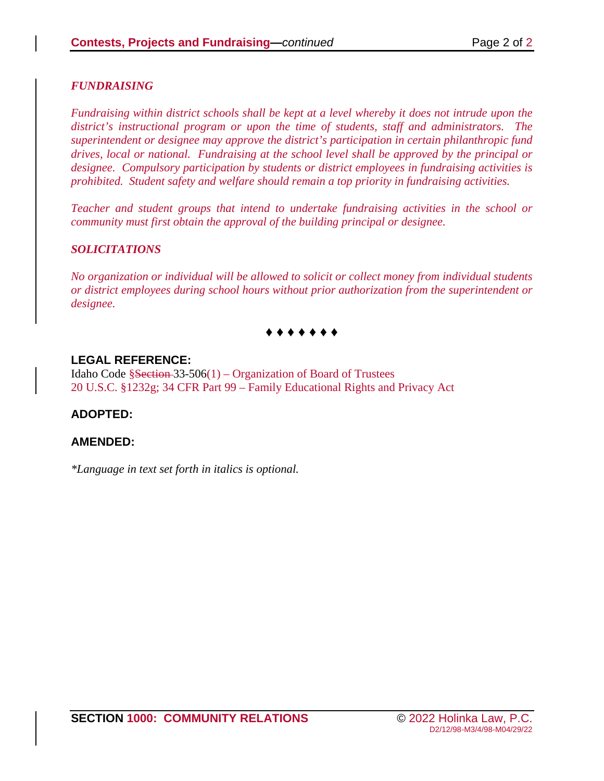### *FUNDRAISING*

*Fundraising within district schools shall be kept at a level whereby it does not intrude upon the district's instructional program or upon the time of students, staff and administrators. The superintendent or designee may approve the district's participation in certain philanthropic fund drives, local or national. Fundraising at the school level shall be approved by the principal or designee. Compulsory participation by students or district employees in fundraising activities is prohibited. Student safety and welfare should remain a top priority in fundraising activities.*

*Teacher and student groups that intend to undertake fundraising activities in the school or community must first obtain the approval of the building principal or designee.*

### *SOLICITATIONS*

*No organization or individual will be allowed to solicit or collect money from individual students or district employees during school hours without prior authorization from the superintendent or designee.*

# **♦ ♦ ♦ ♦ ♦ ♦ ♦**

### **LEGAL REFERENCE:**

Idaho Code  $\S$ Section 33-506(1) – Organization of Board of Trustees 20 U.S.C. §1232g; 34 CFR Part 99 – Family Educational Rights and Privacy Act

### **ADOPTED:**

### **AMENDED:**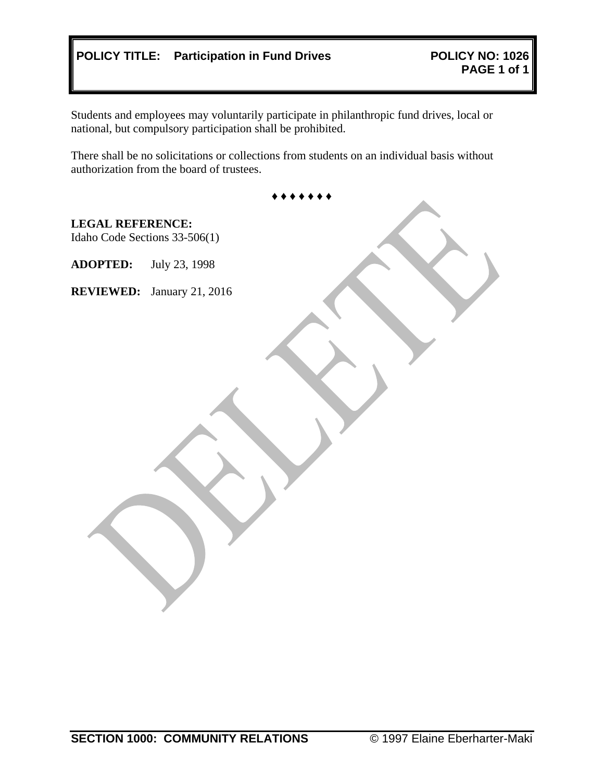# **POLICY TITLE:** Participation in Fund Drives

Students and employees may voluntarily participate in philanthropic fund drives, local or national, but compulsory participation shall be prohibited.

There shall be no solicitations or collections from students on an individual basis without authorization from the board of trustees.

| <b>LEGAL REFERENCE:</b> | Idaho Code Sections 33-506(1) |
|-------------------------|-------------------------------|
| <b>ADOPTED:</b>         | July 23, 1998                 |
| <b>REVIEWED:</b>        | January 21, 2016              |
|                         |                               |
|                         |                               |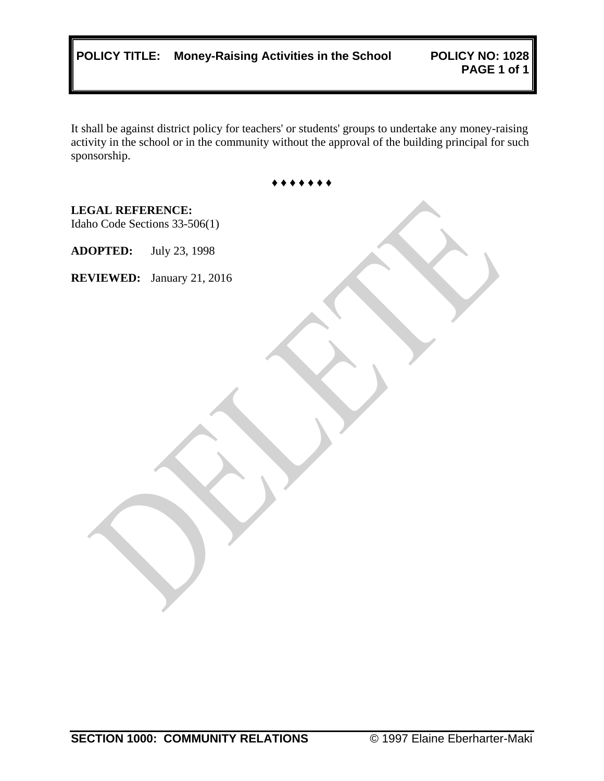|  | POLICY TITLE: Money-Raising Activities in the School |  |  |  |
|--|------------------------------------------------------|--|--|--|
|--|------------------------------------------------------|--|--|--|

It shall be against district policy for teachers' or students' groups to undertake any money-raising activity in the school or in the community without the approval of the building principal for such sponsorship.

♦ ♦ ♦ ♦ ♦ ♦ ♦

**LEGAL REFERENCE:** Idaho Code Sections 33-506(1) **ADOPTED:** July 23, 1998 **REVIEWED:** January 21, 2016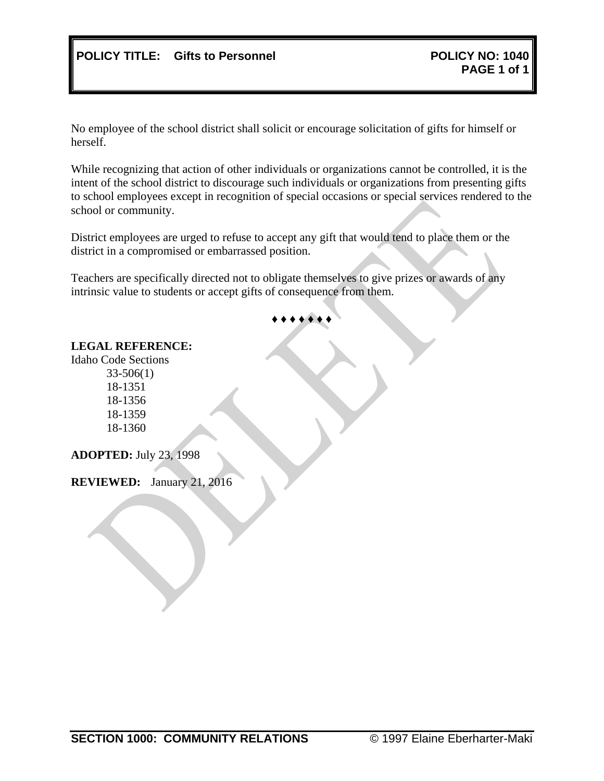No employee of the school district shall solicit or encourage solicitation of gifts for himself or herself.

While recognizing that action of other individuals or organizations cannot be controlled, it is the intent of the school district to discourage such individuals or organizations from presenting gifts to school employees except in recognition of special occasions or special services rendered to the school or community.

District employees are urged to refuse to accept any gift that would tend to place them or the district in a compromised or embarrassed position.

Teachers are specifically directed not to obligate themselves to give prizes or awards of any intrinsic value to students or accept gifts of consequence from them.

# ♦ ♦ ♦ ♦ ♦ ♦ ♦

#### **LEGAL REFERENCE:**

Idaho Code Sections 33-506(1) 18-1351 18-1356 18-1359

18-1360

**ADOPTED:** July 23, 1998

**REVIEWED:** January 21, 2016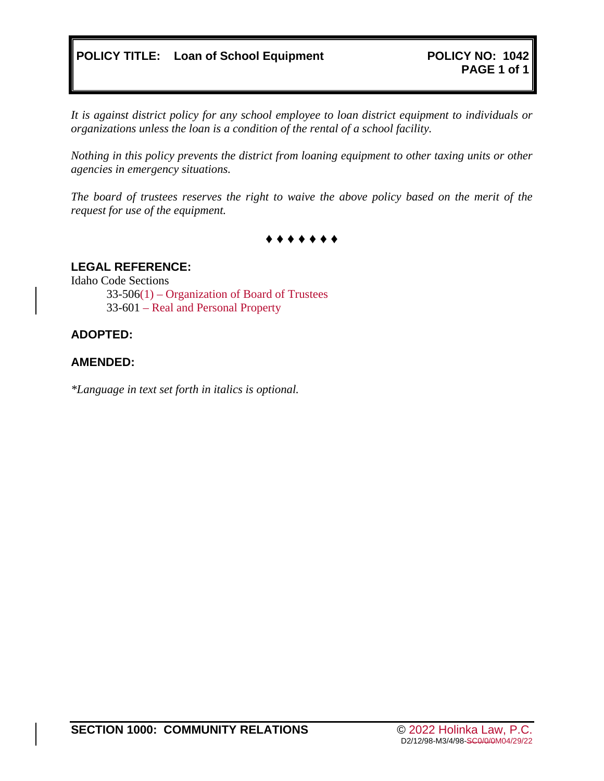*It is against district policy for any school employee to loan district equipment to individuals or organizations unless the loan is a condition of the rental of a school facility.*

*Nothing in this policy prevents the district from loaning equipment to other taxing units or other agencies in emergency situations.*

*The board of trustees reserves the right to waive the above policy based on the merit of the request for use of the equipment.*

**♦ ♦ ♦ ♦ ♦ ♦ ♦**

#### **LEGAL REFERENCE:**

Idaho Code Sections

33-506(1) – Organization of Board of Trustees 33-601 – Real and Personal Property

#### **ADOPTED:**

#### **AMENDED:**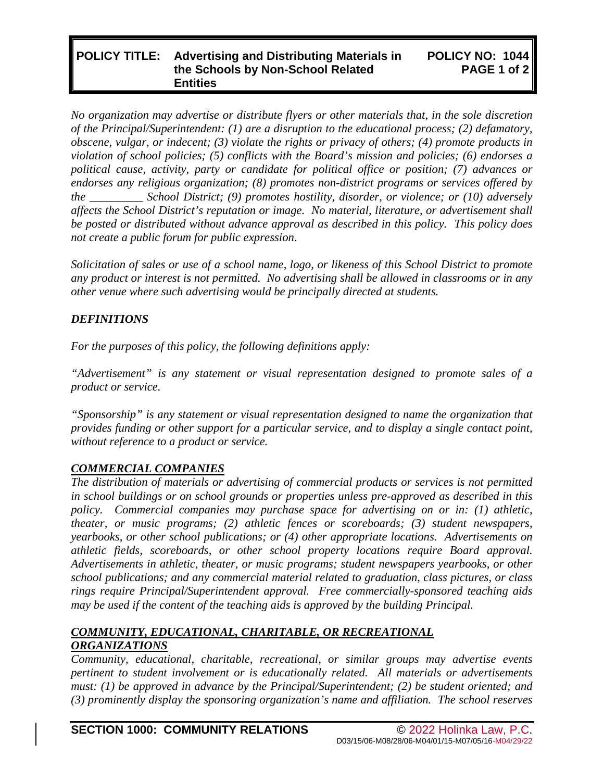#### **POLICY TITLE: Advertising and Distributing Materials in the Schools by Non-School Related Entities POLICY NO: 1044 PAGE 1 of 2**

*No organization may advertise or distribute flyers or other materials that, in the sole discretion of the Principal/Superintendent: (1) are a disruption to the educational process; (2) defamatory, obscene, vulgar, or indecent; (3) violate the rights or privacy of others; (4) promote products in violation of school policies; (5) conflicts with the Board's mission and policies; (6) endorses a political cause, activity, party or candidate for political office or position; (7) advances or endorses any religious organization; (8) promotes non-district programs or services offered by the \_\_\_\_\_\_\_\_\_ School District; (9) promotes hostility, disorder, or violence; or (10) adversely affects the School District's reputation or image. No material, literature, or advertisement shall be posted or distributed without advance approval as described in this policy. This policy does not create a public forum for public expression.*

*Solicitation of sales or use of a school name, logo, or likeness of this School District to promote any product or interest is not permitted. No advertising shall be allowed in classrooms or in any other venue where such advertising would be principally directed at students.*

### *DEFINITIONS*

*For the purposes of this policy, the following definitions apply:*

*"Advertisement" is any statement or visual representation designed to promote sales of a product or service.*

*"Sponsorship" is any statement or visual representation designed to name the organization that provides funding or other support for a particular service, and to display a single contact point, without reference to a product or service.*

### *COMMERCIAL COMPANIES*

*The distribution of materials or advertising of commercial products or services is not permitted in school buildings or on school grounds or properties unless pre-approved as described in this policy. Commercial companies may purchase space for advertising on or in: (1) athletic, theater, or music programs; (2) athletic fences or scoreboards; (3) student newspapers, yearbooks, or other school publications; or (4) other appropriate locations. Advertisements on athletic fields, scoreboards, or other school property locations require Board approval. Advertisements in athletic, theater, or music programs; student newspapers yearbooks, or other school publications; and any commercial material related to graduation, class pictures, or class rings require Principal/Superintendent approval. Free commercially-sponsored teaching aids may be used if the content of the teaching aids is approved by the building Principal.*

### *COMMUNITY, EDUCATIONAL, CHARITABLE, OR RECREATIONAL ORGANIZATIONS*

*Community, educational, charitable, recreational, or similar groups may advertise events pertinent to student involvement or is educationally related. All materials or advertisements must: (1) be approved in advance by the Principal/Superintendent; (2) be student oriented; and (3) prominently display the sponsoring organization's name and affiliation. The school reserves*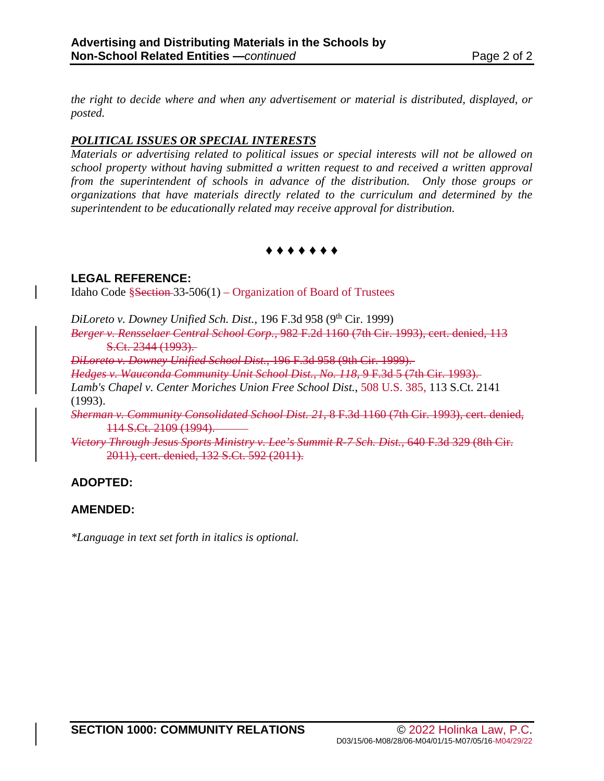*the right to decide where and when any advertisement or material is distributed, displayed, or posted.*

### *POLITICAL ISSUES OR SPECIAL INTERESTS*

*Materials or advertising related to political issues or special interests will not be allowed on school property without having submitted a written request to and received a written approval from the superintendent of schools in advance of the distribution. Only those groups or organizations that have materials directly related to the curriculum and determined by the superintendent to be educationally related may receive approval for distribution.*

**♦ ♦ ♦ ♦ ♦ ♦ ♦**

### **LEGAL REFERENCE:**

Idaho Code §Section 33-506(1) – Organization of Board of Trustees

DiLoreto v. Downey Unified Sch. Dist., 196 F.3d 958 (9<sup>th</sup> Cir. 1999)

*Berger v. Rensselaer Central School Corp.*, 982 F.2d 1160 (7th Cir. 1993), cert. denied, 113 S.Ct. 2344 (1993).

*DiLoreto v. Downey Unified School Dist.*, 196 F.3d 958 (9th Cir. 1999).

*Hedges v. Wauconda Community Unit School Dist., No. 118*, 9 F.3d 5 (7th Cir. 1993).

*Lamb's Chapel v. Center Moriches Union Free School Dist.*, 508 U.S. 385, 113 S.Ct. 2141 (1993).

*Sherman v. Community Consolidated School Dist. 21*, 8 F.3d 1160 (7th Cir. 1993), cert. denied, 114 S.Ct. 2109 (1994).

*Victory Through Jesus Sports Ministry v. Lee's Summit R-7 Sch. Dist.*, 640 F.3d 329 (8th Cir. 2011), cert. denied, 132 S.Ct. 592 (2011).

# **ADOPTED:**

### **AMENDED:**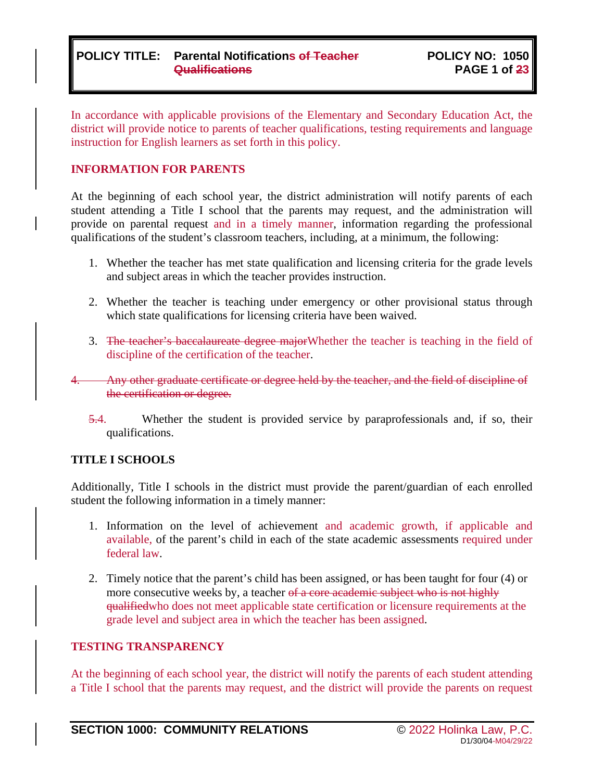### **POLICY TITLE: Parental Notifications of Teacher Qualifications**

In accordance with applicable provisions of the Elementary and Secondary Education Act, the district will provide notice to parents of teacher qualifications, testing requirements and language instruction for English learners as set forth in this policy.

#### **INFORMATION FOR PARENTS**

At the beginning of each school year, the district administration will notify parents of each student attending a Title I school that the parents may request, and the administration will provide on parental request and in a timely manner, information regarding the professional qualifications of the student's classroom teachers, including, at a minimum, the following:

- 1. Whether the teacher has met state qualification and licensing criteria for the grade levels and subject areas in which the teacher provides instruction.
- 2. Whether the teacher is teaching under emergency or other provisional status through which state qualifications for licensing criteria have been waived.
- 3. The teacher's baccalaureate degree major Whether the teacher is teaching in the field of discipline of the certification of the teacher.
- Any other graduate certificate or degree held by the teacher, and the field of discipline of the certification or degree.
	- 5.4. Whether the student is provided service by paraprofessionals and, if so, their qualifications.

### **TITLE I SCHOOLS**

Additionally, Title I schools in the district must provide the parent/guardian of each enrolled student the following information in a timely manner:

- 1. Information on the level of achievement and academic growth, if applicable and available, of the parent's child in each of the state academic assessments required under federal law.
- 2. Timely notice that the parent's child has been assigned, or has been taught for four (4) or more consecutive weeks by, a teacher of a core academic subject who is not highly qualifiedwho does not meet applicable state certification or licensure requirements at the grade level and subject area in which the teacher has been assigned.

### **TESTING TRANSPARENCY**

At the beginning of each school year, the district will notify the parents of each student attending a Title I school that the parents may request, and the district will provide the parents on request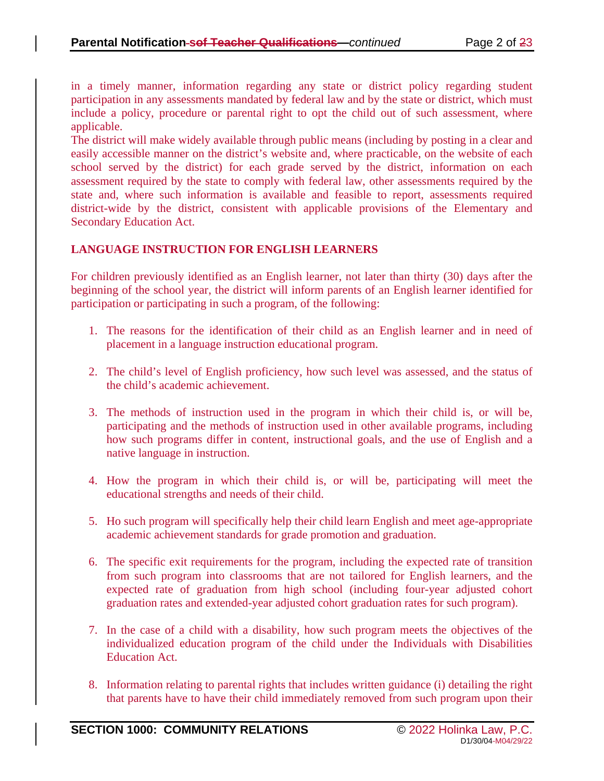in a timely manner, information regarding any state or district policy regarding student participation in any assessments mandated by federal law and by the state or district, which must include a policy, procedure or parental right to opt the child out of such assessment, where applicable.

The district will make widely available through public means (including by posting in a clear and easily accessible manner on the district's website and, where practicable, on the website of each school served by the district) for each grade served by the district, information on each assessment required by the state to comply with federal law, other assessments required by the state and, where such information is available and feasible to report, assessments required district-wide by the district, consistent with applicable provisions of the Elementary and Secondary Education Act.

### **LANGUAGE INSTRUCTION FOR ENGLISH LEARNERS**

For children previously identified as an English learner, not later than thirty (30) days after the beginning of the school year, the district will inform parents of an English learner identified for participation or participating in such a program, of the following:

- 1. The reasons for the identification of their child as an English learner and in need of placement in a language instruction educational program.
- 2. The child's level of English proficiency, how such level was assessed, and the status of the child's academic achievement.
- 3. The methods of instruction used in the program in which their child is, or will be, participating and the methods of instruction used in other available programs, including how such programs differ in content, instructional goals, and the use of English and a native language in instruction.
- 4. How the program in which their child is, or will be, participating will meet the educational strengths and needs of their child.
- 5. Ho such program will specifically help their child learn English and meet age-appropriate academic achievement standards for grade promotion and graduation.
- 6. The specific exit requirements for the program, including the expected rate of transition from such program into classrooms that are not tailored for English learners, and the expected rate of graduation from high school (including four-year adjusted cohort graduation rates and extended-year adjusted cohort graduation rates for such program).
- 7. In the case of a child with a disability, how such program meets the objectives of the individualized education program of the child under the Individuals with Disabilities Education Act.
- 8. Information relating to parental rights that includes written guidance (i) detailing the right that parents have to have their child immediately removed from such program upon their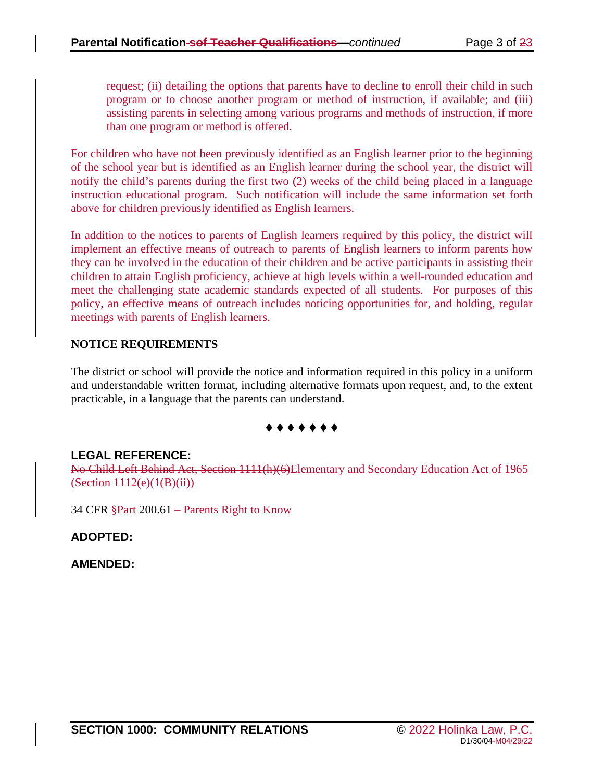request; (ii) detailing the options that parents have to decline to enroll their child in such program or to choose another program or method of instruction, if available; and (iii) assisting parents in selecting among various programs and methods of instruction, if more than one program or method is offered.

For children who have not been previously identified as an English learner prior to the beginning of the school year but is identified as an English learner during the school year, the district will notify the child's parents during the first two (2) weeks of the child being placed in a language instruction educational program. Such notification will include the same information set forth above for children previously identified as English learners.

In addition to the notices to parents of English learners required by this policy, the district will implement an effective means of outreach to parents of English learners to inform parents how they can be involved in the education of their children and be active participants in assisting their children to attain English proficiency, achieve at high levels within a well-rounded education and meet the challenging state academic standards expected of all students. For purposes of this policy, an effective means of outreach includes noticing opportunities for, and holding, regular meetings with parents of English learners.

### **NOTICE REQUIREMENTS**

The district or school will provide the notice and information required in this policy in a uniform and understandable written format, including alternative formats upon request, and, to the extent practicable, in a language that the parents can understand.

### **♦ ♦ ♦ ♦ ♦ ♦ ♦**

### **LEGAL REFERENCE:**

No Child Left Behind Act, Section 1111(h)(6)Elementary and Secondary Education Act of 1965  $(Section 1112(e)(1(B(ii)))$ 

34 CFR §Part 200.61 – Parents Right to Know

### **ADOPTED:**

**AMENDED:**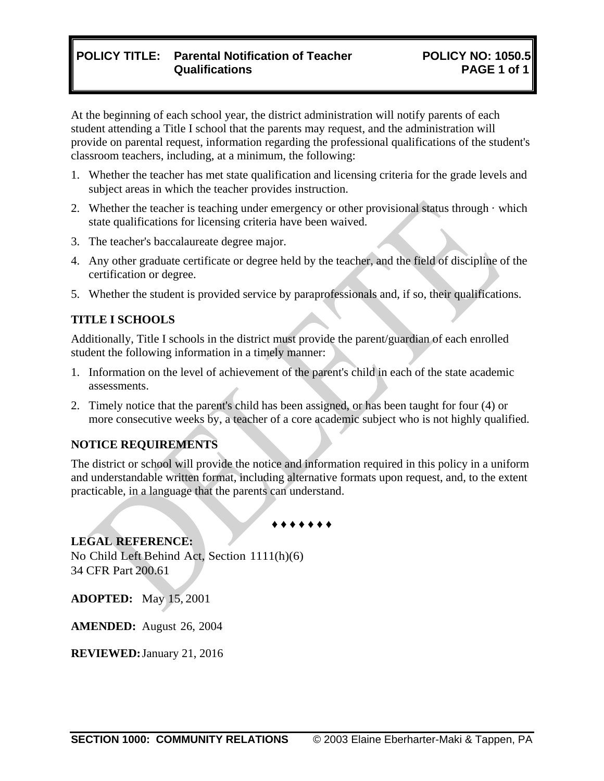# **POLICY TITLE: Parental Notification of Teacher Qualifications**

At the beginning of each school year, the district administration will notify parents of each student attending a Title I school that the parents may request, and the administration will provide on parental request, information regarding the professional qualifications of the student's classroom teachers, including, at a minimum, the following:

- 1. Whether the teacher has met state qualification and licensing criteria for the grade levels and subject areas in which the teacher provides instruction.
- 2. Whether the teacher is teaching under emergency or other provisional status through  $\cdot$  which state qualifications for licensing criteria have been waived.
- 3. The teacher's baccalaureate degree major.
- 4. Any other graduate certificate or degree held by the teacher, and the field of discipline of the certification or degree.
- 5. Whether the student is provided service by paraprofessionals and, if so, their qualifications.

### **TITLE I SCHOOLS**

Additionally, Title I schools in the district must provide the parent/guardian of each enrolled student the following information in a timely manner:

- 1. Information on the level of achievement of the parent's child in each of the state academic assessments.
- 2. Timely notice that the parent's child has been assigned, or has been taught for four (4) or more consecutive weeks by, a teacher of a core academic subject who is not highly qualified.

### **NOTICE REQUIREMENTS**

The district or school will provide the notice and information required in this policy in a uniform and understandable written format, including alternative formats upon request, and, to the extent practicable, in a language that the parents can understand.

♦ ♦ ♦ ♦ ♦ ♦ ♦

# **LEGAL REFERENCE:**

No Child Left Behind Act, Section 1111(h)(6) 34 CFR Part 200.61

**ADOPTED:** May 15, 2001

**AMENDED:** August 26, 2004

**REVIEWED:**January 21, 2016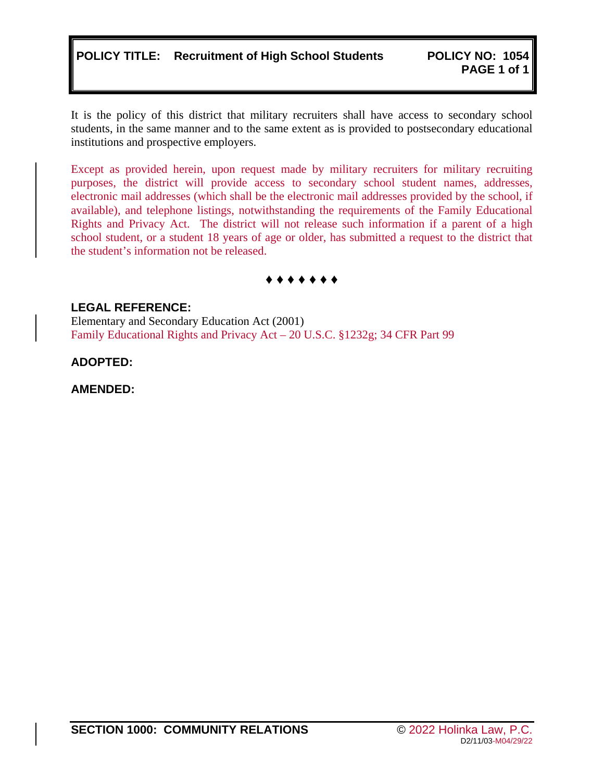# **POLICY TITLE: Recruitment of High School Students POLICY NO: 1054**

It is the policy of this district that military recruiters shall have access to secondary school students, in the same manner and to the same extent as is provided to postsecondary educational institutions and prospective employers.

Except as provided herein, upon request made by military recruiters for military recruiting purposes, the district will provide access to secondary school student names, addresses, electronic mail addresses (which shall be the electronic mail addresses provided by the school, if available), and telephone listings, notwithstanding the requirements of the Family Educational Rights and Privacy Act. The district will not release such information if a parent of a high school student, or a student 18 years of age or older, has submitted a request to the district that the student's information not be released.

**♦ ♦ ♦ ♦ ♦ ♦ ♦**

### **LEGAL REFERENCE:**

Elementary and Secondary Education Act (2001) Family Educational Rights and Privacy Act – 20 U.S.C. §1232g; 34 CFR Part 99

**ADOPTED:**

### **AMENDED:**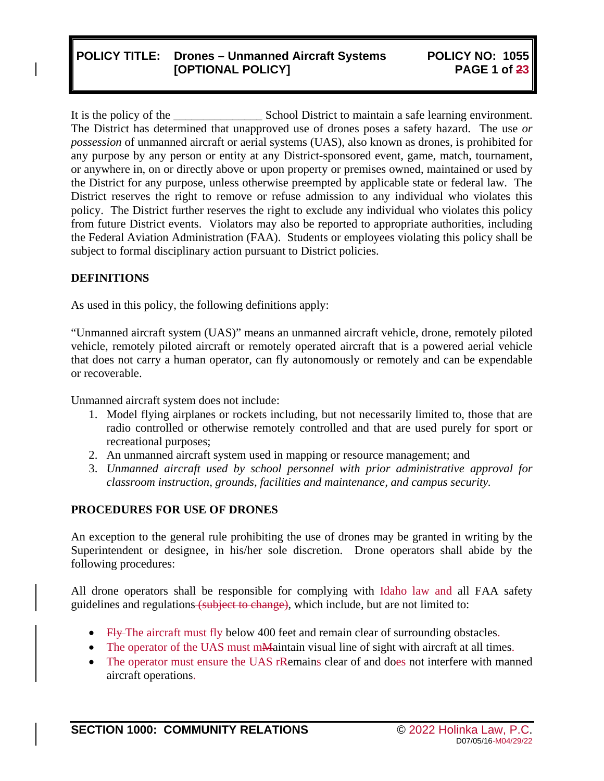# **POLICY TITLE: Drones – Unmanned Aircraft Systems [OPTIONAL POLICY]**

It is the policy of the School District to maintain a safe learning environment. The District has determined that unapproved use of drones poses a safety hazard. The use *or possession* of unmanned aircraft or aerial systems (UAS), also known as drones, is prohibited for any purpose by any person or entity at any District-sponsored event, game, match, tournament, or anywhere in, on or directly above or upon property or premises owned, maintained or used by the District for any purpose, unless otherwise preempted by applicable state or federal law. The District reserves the right to remove or refuse admission to any individual who violates this policy. The District further reserves the right to exclude any individual who violates this policy from future District events. Violators may also be reported to appropriate authorities, including the Federal Aviation Administration (FAA). Students or employees violating this policy shall be subject to formal disciplinary action pursuant to District policies.

### **DEFINITIONS**

As used in this policy, the following definitions apply:

"Unmanned aircraft system (UAS)" means an unmanned aircraft vehicle, drone, remotely piloted vehicle, remotely piloted aircraft or remotely operated aircraft that is a powered aerial vehicle that does not carry a human operator, can fly autonomously or remotely and can be expendable or recoverable.

Unmanned aircraft system does not include:

- 1. Model flying airplanes or rockets including, but not necessarily limited to, those that are radio controlled or otherwise remotely controlled and that are used purely for sport or recreational purposes;
- 2. An unmanned aircraft system used in mapping or resource management; and
- 3. *Unmanned aircraft used by school personnel with prior administrative approval for classroom instruction, grounds, facilities and maintenance, and campus security.*

### **PROCEDURES FOR USE OF DRONES**

An exception to the general rule prohibiting the use of drones may be granted in writing by the Superintendent or designee, in his/her sole discretion. Drone operators shall abide by the following procedures:

All drone operators shall be responsible for complying with Idaho law and all FAA safety guidelines and regulations (subject to change)*,* which include, but are not limited to:

- Fly The aircraft must fly below 400 feet and remain clear of surrounding obstacles.
- The operator of the UAS must mMaintain visual line of sight with aircraft at all times.
- The operator must ensure the UAS rRemains clear of and does not interfere with manned aircraft operations.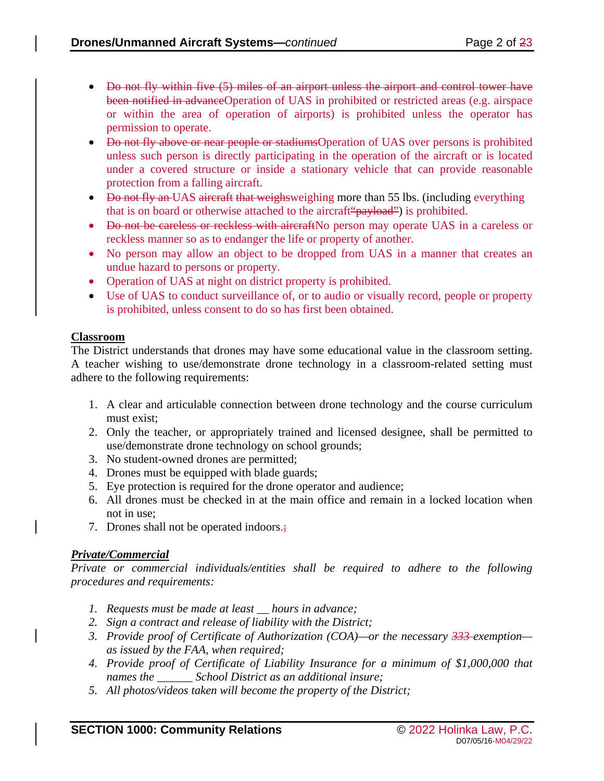- Do not fly within five (5) miles of an airport unless the airport and control tower have been notified in advanceOperation of UAS in prohibited or restricted areas (e.g. airspace or within the area of operation of airports) is prohibited unless the operator has permission to operate.
- Do not fly above or near people or stadiumsOperation of UAS over persons is prohibited unless such person is directly participating in the operation of the aircraft or is located under a covered structure or inside a stationary vehicle that can provide reasonable protection from a falling aircraft.
- Do not fly an UAS aircraft that weighsweighing more than 55 lbs. (including everything that is on board or otherwise attached to the aircraft "payload") is prohibited.
- <del>Do not be careless or reckless with aircraft</del> No person may operate UAS in a careless or reckless manner so as to endanger the life or property of another.
- No person may allow an object to be dropped from UAS in a manner that creates an undue hazard to persons or property.
- Operation of UAS at night on district property is prohibited.
- Use of UAS to conduct surveillance of, or to audio or visually record, people or property is prohibited, unless consent to do so has first been obtained.

# **Classroom**

The District understands that drones may have some educational value in the classroom setting. A teacher wishing to use/demonstrate drone technology in a classroom-related setting must adhere to the following requirements:

- 1. A clear and articulable connection between drone technology and the course curriculum must exist;
- 2. Only the teacher, or appropriately trained and licensed designee, shall be permitted to use/demonstrate drone technology on school grounds;
- 3. No student-owned drones are permitted;
- 4. Drones must be equipped with blade guards;
- 5. Eye protection is required for the drone operator and audience;
- 6. All drones must be checked in at the main office and remain in a locked location when not in use;
- 7. Drones shall not be operated indoors.;

# *Private/Commercial*

*Private or commercial individuals/entities shall be required to adhere to the following procedures and requirements:*

- *1. Requests must be made at least \_\_ hours in advance;*
- *2. Sign a contract and release of liability with the District;*
- *3. Provide proof of Certificate of Authorization (COA)—or the necessary 333 exemption as issued by the FAA, when required;*
- *4. Provide proof of Certificate of Liability Insurance for a minimum of \$1,000,000 that names the \_\_\_\_\_\_ School District as an additional insure;*
- *5. All photos/videos taken will become the property of the District;*